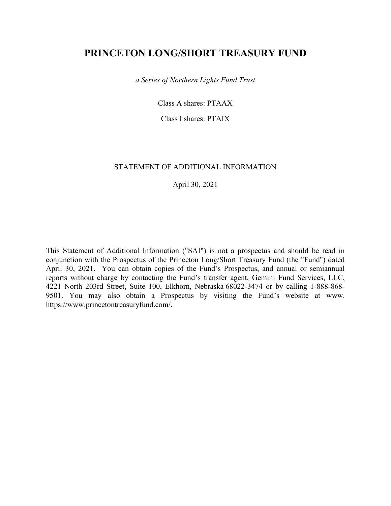# **PRINCETON LONG/SHORT TREASURY FUND**

*a Series of Northern Lights Fund Trust*

Class A shares: PTAAX

Class I shares: PTAIX

# STATEMENT OF ADDITIONAL INFORMATION

April 30, 2021

This Statement of Additional Information ("SAI") is not a prospectus and should be read in conjunction with the Prospectus of the Princeton Long/Short Treasury Fund (the "Fund") dated April 30, 2021. You can obtain copies of the Fund's Prospectus, and annual or semiannual reports without charge by contacting the Fund's transfer agent, Gemini Fund Services, LLC, 4221 North 203rd Street, Suite 100, Elkhorn, Nebraska 68022-3474 or by calling 1-888-868- 9501. You may also obtain a Prospectus by visiting the Fund's website at www. https://www.princetontreasuryfund.com/.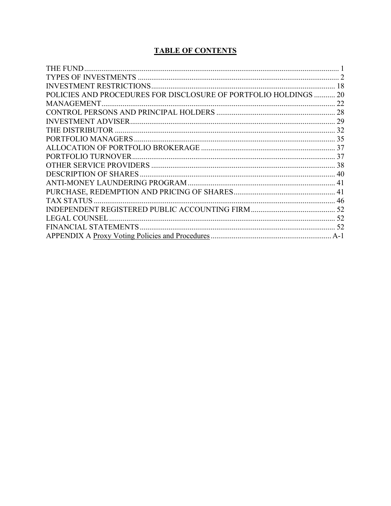# **TABLE OF CONTENTS**

| POLICIES AND PROCEDURES FOR DISCLOSURE OF PORTFOLIO HOLDINGS  20 |  |
|------------------------------------------------------------------|--|
|                                                                  |  |
|                                                                  |  |
|                                                                  |  |
|                                                                  |  |
|                                                                  |  |
|                                                                  |  |
|                                                                  |  |
|                                                                  |  |
|                                                                  |  |
|                                                                  |  |
|                                                                  |  |
|                                                                  |  |
|                                                                  |  |
|                                                                  |  |
|                                                                  |  |
|                                                                  |  |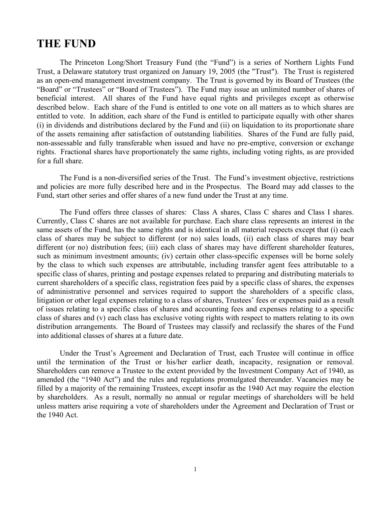# **THE FUND**

The Princeton Long/Short Treasury Fund (the "Fund") is a series of Northern Lights Fund Trust, a Delaware statutory trust organized on January 19, 2005 (the "Trust"). The Trust is registered as an open-end management investment company. The Trust is governed by its Board of Trustees (the "Board" or "Trustees" or "Board of Trustees"). The Fund may issue an unlimited number of shares of beneficial interest. All shares of the Fund have equal rights and privileges except as otherwise described below. Each share of the Fund is entitled to one vote on all matters as to which shares are entitled to vote. In addition, each share of the Fund is entitled to participate equally with other shares (i) in dividends and distributions declared by the Fund and (ii) on liquidation to its proportionate share of the assets remaining after satisfaction of outstanding liabilities. Shares of the Fund are fully paid, non-assessable and fully transferable when issued and have no pre-emptive, conversion or exchange rights. Fractional shares have proportionately the same rights, including voting rights, as are provided for a full share.

The Fund is a non-diversified series of the Trust. The Fund's investment objective, restrictions and policies are more fully described here and in the Prospectus. The Board may add classes to the Fund, start other series and offer shares of a new fund under the Trust at any time.

The Fund offers three classes of shares: Class A shares, Class C shares and Class I shares. Currently, Class C shares are not available for purchase. Each share class represents an interest in the same assets of the Fund, has the same rights and is identical in all material respects except that (i) each class of shares may be subject to different (or no) sales loads, (ii) each class of shares may bear different (or no) distribution fees; (iii) each class of shares may have different shareholder features, such as minimum investment amounts; (iv) certain other class-specific expenses will be borne solely by the class to which such expenses are attributable, including transfer agent fees attributable to a specific class of shares, printing and postage expenses related to preparing and distributing materials to current shareholders of a specific class, registration fees paid by a specific class of shares, the expenses of administrative personnel and services required to support the shareholders of a specific class, litigation or other legal expenses relating to a class of shares, Trustees' fees or expenses paid as a result of issues relating to a specific class of shares and accounting fees and expenses relating to a specific class of shares and (v) each class has exclusive voting rights with respect to matters relating to its own distribution arrangements. The Board of Trustees may classify and reclassify the shares of the Fund into additional classes of shares at a future date.

Under the Trust's Agreement and Declaration of Trust, each Trustee will continue in office until the termination of the Trust or his/her earlier death, incapacity, resignation or removal. Shareholders can remove a Trustee to the extent provided by the Investment Company Act of 1940, as amended (the "1940 Act") and the rules and regulations promulgated thereunder. Vacancies may be filled by a majority of the remaining Trustees, except insofar as the 1940 Act may require the election by shareholders. As a result, normally no annual or regular meetings of shareholders will be held unless matters arise requiring a vote of shareholders under the Agreement and Declaration of Trust or the 1940 Act.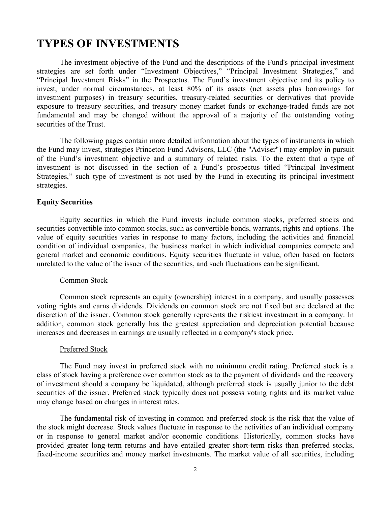# **TYPES OF INVESTMENTS**

The investment objective of the Fund and the descriptions of the Fund's principal investment strategies are set forth under "Investment Objectives," "Principal Investment Strategies," and "Principal Investment Risks" in the Prospectus. The Fund's investment objective and its policy to invest, under normal circumstances, at least 80% of its assets (net assets plus borrowings for investment purposes) in treasury securities, treasury-related securities or derivatives that provide exposure to treasury securities, and treasury money market funds or exchange-traded funds are not fundamental and may be changed without the approval of a majority of the outstanding voting securities of the Trust.

The following pages contain more detailed information about the types of instruments in which the Fund may invest, strategies Princeton Fund Advisors, LLC (the "Adviser") may employ in pursuit of the Fund's investment objective and a summary of related risks. To the extent that a type of investment is not discussed in the section of a Fund's prospectus titled "Principal Investment Strategies," such type of investment is not used by the Fund in executing its principal investment strategies.

## **Equity Securities**

Equity securities in which the Fund invests include common stocks, preferred stocks and securities convertible into common stocks, such as convertible bonds, warrants, rights and options. The value of equity securities varies in response to many factors, including the activities and financial condition of individual companies, the business market in which individual companies compete and general market and economic conditions. Equity securities fluctuate in value, often based on factors unrelated to the value of the issuer of the securities, and such fluctuations can be significant.

#### Common Stock

Common stock represents an equity (ownership) interest in a company, and usually possesses voting rights and earns dividends. Dividends on common stock are not fixed but are declared at the discretion of the issuer. Common stock generally represents the riskiest investment in a company. In addition, common stock generally has the greatest appreciation and depreciation potential because increases and decreases in earnings are usually reflected in a company's stock price.

### Preferred Stock

The Fund may invest in preferred stock with no minimum credit rating. Preferred stock is a class of stock having a preference over common stock as to the payment of dividends and the recovery of investment should a company be liquidated, although preferred stock is usually junior to the debt securities of the issuer. Preferred stock typically does not possess voting rights and its market value may change based on changes in interest rates.

The fundamental risk of investing in common and preferred stock is the risk that the value of the stock might decrease. Stock values fluctuate in response to the activities of an individual company or in response to general market and/or economic conditions. Historically, common stocks have provided greater long-term returns and have entailed greater short-term risks than preferred stocks, fixed-income securities and money market investments. The market value of all securities, including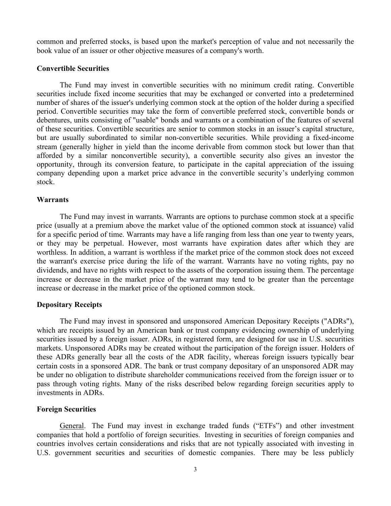common and preferred stocks, is based upon the market's perception of value and not necessarily the book value of an issuer or other objective measures of a company's worth.

### **Convertible Securities**

The Fund may invest in convertible securities with no minimum credit rating. Convertible securities include fixed income securities that may be exchanged or converted into a predetermined number of shares of the issuer's underlying common stock at the option of the holder during a specified period. Convertible securities may take the form of convertible preferred stock, convertible bonds or debentures, units consisting of "usable" bonds and warrants or a combination of the features of several of these securities. Convertible securities are senior to common stocks in an issuer's capital structure, but are usually subordinated to similar non-convertible securities. While providing a fixed-income stream (generally higher in yield than the income derivable from common stock but lower than that afforded by a similar nonconvertible security), a convertible security also gives an investor the opportunity, through its conversion feature, to participate in the capital appreciation of the issuing company depending upon a market price advance in the convertible security's underlying common stock.

### **Warrants**

The Fund may invest in warrants. Warrants are options to purchase common stock at a specific price (usually at a premium above the market value of the optioned common stock at issuance) valid for a specific period of time. Warrants may have a life ranging from less than one year to twenty years, or they may be perpetual. However, most warrants have expiration dates after which they are worthless. In addition, a warrant is worthless if the market price of the common stock does not exceed the warrant's exercise price during the life of the warrant. Warrants have no voting rights, pay no dividends, and have no rights with respect to the assets of the corporation issuing them. The percentage increase or decrease in the market price of the warrant may tend to be greater than the percentage increase or decrease in the market price of the optioned common stock.

#### **Depositary Receipts**

The Fund may invest in sponsored and unsponsored American Depositary Receipts ("ADRs"), which are receipts issued by an American bank or trust company evidencing ownership of underlying securities issued by a foreign issuer. ADRs, in registered form, are designed for use in U.S. securities markets. Unsponsored ADRs may be created without the participation of the foreign issuer. Holders of these ADRs generally bear all the costs of the ADR facility, whereas foreign issuers typically bear certain costs in a sponsored ADR. The bank or trust company depositary of an unsponsored ADR may be under no obligation to distribute shareholder communications received from the foreign issuer or to pass through voting rights. Many of the risks described below regarding foreign securities apply to investments in ADRs.

## **Foreign Securities**

General. The Fund may invest in exchange traded funds ("ETFs") and other investment companies that hold a portfolio of foreign securities. Investing in securities of foreign companies and countries involves certain considerations and risks that are not typically associated with investing in U.S. government securities and securities of domestic companies. There may be less publicly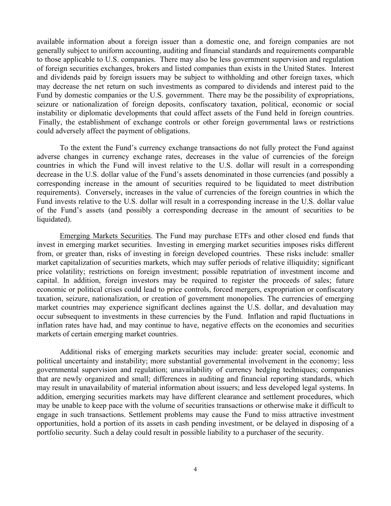available information about a foreign issuer than a domestic one, and foreign companies are not generally subject to uniform accounting, auditing and financial standards and requirements comparable to those applicable to U.S. companies. There may also be less government supervision and regulation of foreign securities exchanges, brokers and listed companies than exists in the United States. Interest and dividends paid by foreign issuers may be subject to withholding and other foreign taxes, which may decrease the net return on such investments as compared to dividends and interest paid to the Fund by domestic companies or the U.S. government. There may be the possibility of expropriations, seizure or nationalization of foreign deposits, confiscatory taxation, political, economic or social instability or diplomatic developments that could affect assets of the Fund held in foreign countries. Finally, the establishment of exchange controls or other foreign governmental laws or restrictions could adversely affect the payment of obligations.

To the extent the Fund's currency exchange transactions do not fully protect the Fund against adverse changes in currency exchange rates, decreases in the value of currencies of the foreign countries in which the Fund will invest relative to the U.S. dollar will result in a corresponding decrease in the U.S. dollar value of the Fund's assets denominated in those currencies (and possibly a corresponding increase in the amount of securities required to be liquidated to meet distribution requirements). Conversely, increases in the value of currencies of the foreign countries in which the Fund invests relative to the U.S. dollar will result in a corresponding increase in the U.S. dollar value of the Fund's assets (and possibly a corresponding decrease in the amount of securities to be liquidated).

Emerging Markets Securities. The Fund may purchase ETFs and other closed end funds that invest in emerging market securities. Investing in emerging market securities imposes risks different from, or greater than, risks of investing in foreign developed countries. These risks include: smaller market capitalization of securities markets, which may suffer periods of relative illiquidity; significant price volatility; restrictions on foreign investment; possible repatriation of investment income and capital. In addition, foreign investors may be required to register the proceeds of sales; future economic or political crises could lead to price controls, forced mergers, expropriation or confiscatory taxation, seizure, nationalization, or creation of government monopolies. The currencies of emerging market countries may experience significant declines against the U.S. dollar, and devaluation may occur subsequent to investments in these currencies by the Fund. Inflation and rapid fluctuations in inflation rates have had, and may continue to have, negative effects on the economies and securities markets of certain emerging market countries.

Additional risks of emerging markets securities may include: greater social, economic and political uncertainty and instability; more substantial governmental involvement in the economy; less governmental supervision and regulation; unavailability of currency hedging techniques; companies that are newly organized and small; differences in auditing and financial reporting standards, which may result in unavailability of material information about issuers; and less developed legal systems. In addition, emerging securities markets may have different clearance and settlement procedures, which may be unable to keep pace with the volume of securities transactions or otherwise make it difficult to engage in such transactions. Settlement problems may cause the Fund to miss attractive investment opportunities, hold a portion of its assets in cash pending investment, or be delayed in disposing of a portfolio security. Such a delay could result in possible liability to a purchaser of the security.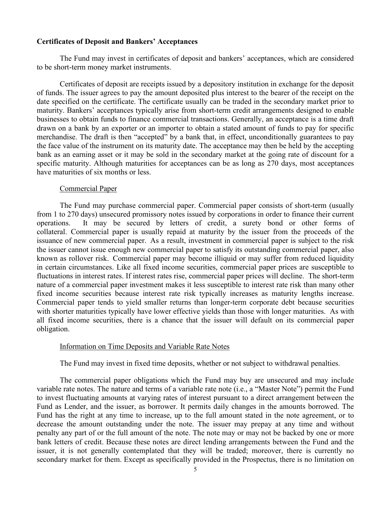## **Certificates of Deposit and Bankers' Acceptances**

The Fund may invest in certificates of deposit and bankers' acceptances, which are considered to be short-term money market instruments.

Certificates of deposit are receipts issued by a depository institution in exchange for the deposit of funds. The issuer agrees to pay the amount deposited plus interest to the bearer of the receipt on the date specified on the certificate. The certificate usually can be traded in the secondary market prior to maturity. Bankers' acceptances typically arise from short-term credit arrangements designed to enable businesses to obtain funds to finance commercial transactions. Generally, an acceptance is a time draft drawn on a bank by an exporter or an importer to obtain a stated amount of funds to pay for specific merchandise. The draft is then "accepted" by a bank that, in effect, unconditionally guarantees to pay the face value of the instrument on its maturity date. The acceptance may then be held by the accepting bank as an earning asset or it may be sold in the secondary market at the going rate of discount for a specific maturity. Although maturities for acceptances can be as long as 270 days, most acceptances have maturities of six months or less.

### Commercial Paper

The Fund may purchase commercial paper. Commercial paper consists of short-term (usually from 1 to 270 days) unsecured promissory notes issued by corporations in order to finance their current operations. It may be secured by letters of credit, a surety bond or other forms of collateral. Commercial paper is usually repaid at maturity by the issuer from the proceeds of the issuance of new commercial paper. As a result, investment in commercial paper is subject to the risk the issuer cannot issue enough new commercial paper to satisfy its outstanding commercial paper, also known as rollover risk. Commercial paper may become illiquid or may suffer from reduced liquidity in certain circumstances. Like all fixed income securities, commercial paper prices are susceptible to fluctuations in interest rates. If interest rates rise, commercial paper prices will decline. The short-term nature of a commercial paper investment makes it less susceptible to interest rate risk than many other fixed income securities because interest rate risk typically increases as maturity lengths increase. Commercial paper tends to yield smaller returns than longer-term corporate debt because securities with shorter maturities typically have lower effective yields than those with longer maturities. As with all fixed income securities, there is a chance that the issuer will default on its commercial paper obligation.

## Information on Time Deposits and Variable Rate Notes

The Fund may invest in fixed time deposits, whether or not subject to withdrawal penalties.

The commercial paper obligations which the Fund may buy are unsecured and may include variable rate notes. The nature and terms of a variable rate note (i.e., a "Master Note") permit the Fund to invest fluctuating amounts at varying rates of interest pursuant to a direct arrangement between the Fund as Lender, and the issuer, as borrower. It permits daily changes in the amounts borrowed. The Fund has the right at any time to increase, up to the full amount stated in the note agreement, or to decrease the amount outstanding under the note. The issuer may prepay at any time and without penalty any part of or the full amount of the note. The note may or may not be backed by one or more bank letters of credit. Because these notes are direct lending arrangements between the Fund and the issuer, it is not generally contemplated that they will be traded; moreover, there is currently no secondary market for them. Except as specifically provided in the Prospectus, there is no limitation on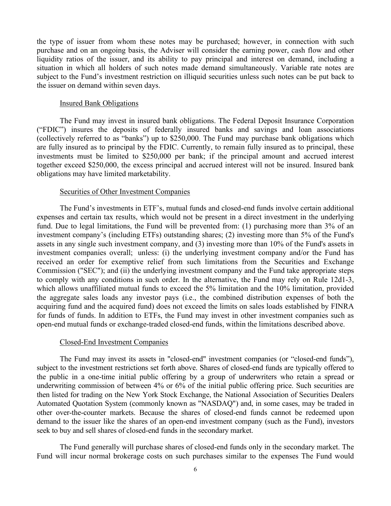the type of issuer from whom these notes may be purchased; however, in connection with such purchase and on an ongoing basis, the Adviser will consider the earning power, cash flow and other liquidity ratios of the issuer, and its ability to pay principal and interest on demand, including a situation in which all holders of such notes made demand simultaneously. Variable rate notes are subject to the Fund's investment restriction on illiquid securities unless such notes can be put back to the issuer on demand within seven days.

#### Insured Bank Obligations

The Fund may invest in insured bank obligations. The Federal Deposit Insurance Corporation ("FDIC") insures the deposits of federally insured banks and savings and loan associations (collectively referred to as "banks") up to \$250,000. The Fund may purchase bank obligations which are fully insured as to principal by the FDIC. Currently, to remain fully insured as to principal, these investments must be limited to \$250,000 per bank; if the principal amount and accrued interest together exceed \$250,000, the excess principal and accrued interest will not be insured. Insured bank obligations may have limited marketability.

#### Securities of Other Investment Companies

The Fund's investments in ETF's, mutual funds and closed-end funds involve certain additional expenses and certain tax results, which would not be present in a direct investment in the underlying fund. Due to legal limitations, the Fund will be prevented from: (1) purchasing more than 3% of an investment company's (including ETFs) outstanding shares; (2) investing more than 5% of the Fund's assets in any single such investment company, and (3) investing more than 10% of the Fund's assets in investment companies overall; unless: (i) the underlying investment company and/or the Fund has received an order for exemptive relief from such limitations from the Securities and Exchange Commission ("SEC"); and (ii) the underlying investment company and the Fund take appropriate steps to comply with any conditions in such order. In the alternative, the Fund may rely on Rule 12d1-3, which allows unaffiliated mutual funds to exceed the 5% limitation and the 10% limitation, provided the aggregate sales loads any investor pays (i.e., the combined distribution expenses of both the acquiring fund and the acquired fund) does not exceed the limits on sales loads established by FINRA for funds of funds. In addition to ETFs, the Fund may invest in other investment companies such as open-end mutual funds or exchange-traded closed-end funds, within the limitations described above.

#### Closed-End Investment Companies

The Fund may invest its assets in "closed-end" investment companies (or "closed-end funds"), subject to the investment restrictions set forth above. Shares of closed-end funds are typically offered to the public in a one-time initial public offering by a group of underwriters who retain a spread or underwriting commission of between 4% or 6% of the initial public offering price. Such securities are then listed for trading on the New York Stock Exchange, the National Association of Securities Dealers Automated Quotation System (commonly known as "NASDAQ") and, in some cases, may be traded in other over-the-counter markets. Because the shares of closed-end funds cannot be redeemed upon demand to the issuer like the shares of an open-end investment company (such as the Fund), investors seek to buy and sell shares of closed-end funds in the secondary market.

The Fund generally will purchase shares of closed-end funds only in the secondary market. The Fund will incur normal brokerage costs on such purchases similar to the expenses The Fund would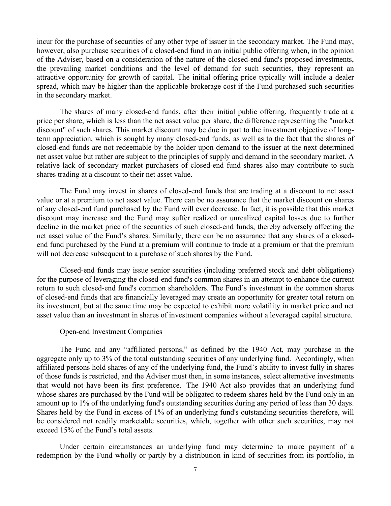incur for the purchase of securities of any other type of issuer in the secondary market. The Fund may, however, also purchase securities of a closed-end fund in an initial public offering when, in the opinion of the Adviser, based on a consideration of the nature of the closed-end fund's proposed investments, the prevailing market conditions and the level of demand for such securities, they represent an attractive opportunity for growth of capital. The initial offering price typically will include a dealer spread, which may be higher than the applicable brokerage cost if the Fund purchased such securities in the secondary market.

The shares of many closed-end funds, after their initial public offering, frequently trade at a price per share, which is less than the net asset value per share, the difference representing the "market discount" of such shares. This market discount may be due in part to the investment objective of longterm appreciation, which is sought by many closed-end funds, as well as to the fact that the shares of closed-end funds are not redeemable by the holder upon demand to the issuer at the next determined net asset value but rather are subject to the principles of supply and demand in the secondary market. A relative lack of secondary market purchasers of closed-end fund shares also may contribute to such shares trading at a discount to their net asset value.

The Fund may invest in shares of closed-end funds that are trading at a discount to net asset value or at a premium to net asset value. There can be no assurance that the market discount on shares of any closed-end fund purchased by the Fund will ever decrease. In fact, it is possible that this market discount may increase and the Fund may suffer realized or unrealized capital losses due to further decline in the market price of the securities of such closed-end funds, thereby adversely affecting the net asset value of the Fund's shares. Similarly, there can be no assurance that any shares of a closedend fund purchased by the Fund at a premium will continue to trade at a premium or that the premium will not decrease subsequent to a purchase of such shares by the Fund.

Closed-end funds may issue senior securities (including preferred stock and debt obligations) for the purpose of leveraging the closed-end fund's common shares in an attempt to enhance the current return to such closed-end fund's common shareholders. The Fund's investment in the common shares of closed-end funds that are financially leveraged may create an opportunity for greater total return on its investment, but at the same time may be expected to exhibit more volatility in market price and net asset value than an investment in shares of investment companies without a leveraged capital structure.

### Open-end Investment Companies

The Fund and any "affiliated persons," as defined by the 1940 Act, may purchase in the aggregate only up to 3% of the total outstanding securities of any underlying fund. Accordingly, when affiliated persons hold shares of any of the underlying fund, the Fund's ability to invest fully in shares of those funds is restricted, and the Adviser must then, in some instances, select alternative investments that would not have been its first preference. The 1940 Act also provides that an underlying fund whose shares are purchased by the Fund will be obligated to redeem shares held by the Fund only in an amount up to 1% of the underlying fund's outstanding securities during any period of less than 30 days. Shares held by the Fund in excess of 1% of an underlying fund's outstanding securities therefore, will be considered not readily marketable securities, which, together with other such securities, may not exceed 15% of the Fund's total assets.

Under certain circumstances an underlying fund may determine to make payment of a redemption by the Fund wholly or partly by a distribution in kind of securities from its portfolio, in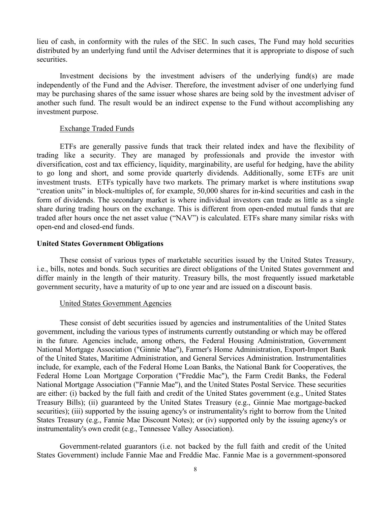lieu of cash, in conformity with the rules of the SEC. In such cases, The Fund may hold securities distributed by an underlying fund until the Adviser determines that it is appropriate to dispose of such securities.

Investment decisions by the investment advisers of the underlying fund(s) are made independently of the Fund and the Adviser. Therefore, the investment adviser of one underlying fund may be purchasing shares of the same issuer whose shares are being sold by the investment adviser of another such fund. The result would be an indirect expense to the Fund without accomplishing any investment purpose.

## Exchange Traded Funds

ETFs are generally passive funds that track their related index and have the flexibility of trading like a security. They are managed by professionals and provide the investor with diversification, cost and tax efficiency, liquidity, marginability, are useful for hedging, have the ability to go long and short, and some provide quarterly dividends. Additionally, some ETFs are unit investment trusts. ETFs typically have two markets. The primary market is where institutions swap "creation units" in block-multiples of, for example, 50,000 shares for in-kind securities and cash in the form of dividends. The secondary market is where individual investors can trade as little as a single share during trading hours on the exchange. This is different from open-ended mutual funds that are traded after hours once the net asset value ("NAV") is calculated. ETFs share many similar risks with open-end and closed-end funds.

### **United States Government Obligations**

These consist of various types of marketable securities issued by the United States Treasury, i.e., bills, notes and bonds. Such securities are direct obligations of the United States government and differ mainly in the length of their maturity. Treasury bills, the most frequently issued marketable government security, have a maturity of up to one year and are issued on a discount basis.

## United States Government Agencies

These consist of debt securities issued by agencies and instrumentalities of the United States government, including the various types of instruments currently outstanding or which may be offered in the future. Agencies include, among others, the Federal Housing Administration, Government National Mortgage Association ("Ginnie Mae"), Farmer's Home Administration, Export-Import Bank of the United States, Maritime Administration, and General Services Administration. Instrumentalities include, for example, each of the Federal Home Loan Banks, the National Bank for Cooperatives, the Federal Home Loan Mortgage Corporation ("Freddie Mac"), the Farm Credit Banks, the Federal National Mortgage Association ("Fannie Mae"), and the United States Postal Service. These securities are either: (i) backed by the full faith and credit of the United States government (e.g., United States Treasury Bills); (ii) guaranteed by the United States Treasury (e.g., Ginnie Mae mortgage-backed securities); (iii) supported by the issuing agency's or instrumentality's right to borrow from the United States Treasury (e.g., Fannie Mae Discount Notes); or (iv) supported only by the issuing agency's or instrumentality's own credit (e.g., Tennessee Valley Association).

Government-related guarantors (i.e. not backed by the full faith and credit of the United States Government) include Fannie Mae and Freddie Mac. Fannie Mae is a government-sponsored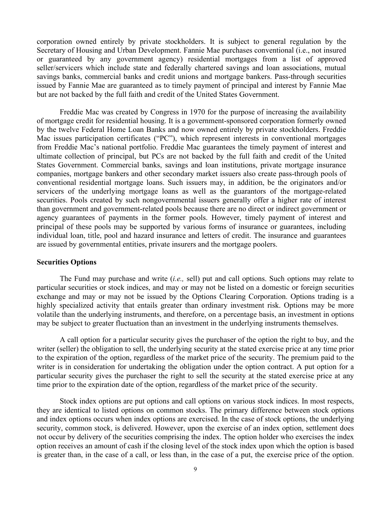corporation owned entirely by private stockholders. It is subject to general regulation by the Secretary of Housing and Urban Development. Fannie Mae purchases conventional (i.e., not insured or guaranteed by any government agency) residential mortgages from a list of approved seller/servicers which include state and federally chartered savings and loan associations, mutual savings banks, commercial banks and credit unions and mortgage bankers. Pass-through securities issued by Fannie Mae are guaranteed as to timely payment of principal and interest by Fannie Mae but are not backed by the full faith and credit of the United States Government.

Freddie Mac was created by Congress in 1970 for the purpose of increasing the availability of mortgage credit for residential housing. It is a government-sponsored corporation formerly owned by the twelve Federal Home Loan Banks and now owned entirely by private stockholders. Freddie Mac issues participation certificates ("PC"), which represent interests in conventional mortgages from Freddie Mac's national portfolio. Freddie Mac guarantees the timely payment of interest and ultimate collection of principal, but PCs are not backed by the full faith and credit of the United States Government. Commercial banks, savings and loan institutions, private mortgage insurance companies, mortgage bankers and other secondary market issuers also create pass-through pools of conventional residential mortgage loans. Such issuers may, in addition, be the originators and/or servicers of the underlying mortgage loans as well as the guarantors of the mortgage-related securities. Pools created by such nongovernmental issuers generally offer a higher rate of interest than government and government-related pools because there are no direct or indirect government or agency guarantees of payments in the former pools. However, timely payment of interest and principal of these pools may be supported by various forms of insurance or guarantees, including individual loan, title, pool and hazard insurance and letters of credit. The insurance and guarantees are issued by governmental entities, private insurers and the mortgage poolers.

### **Securities Options**

The Fund may purchase and write (*i.e.,* sell) put and call options. Such options may relate to particular securities or stock indices, and may or may not be listed on a domestic or foreign securities exchange and may or may not be issued by the Options Clearing Corporation. Options trading is a highly specialized activity that entails greater than ordinary investment risk. Options may be more volatile than the underlying instruments, and therefore, on a percentage basis, an investment in options may be subject to greater fluctuation than an investment in the underlying instruments themselves.

A call option for a particular security gives the purchaser of the option the right to buy, and the writer (seller) the obligation to sell, the underlying security at the stated exercise price at any time prior to the expiration of the option, regardless of the market price of the security. The premium paid to the writer is in consideration for undertaking the obligation under the option contract. A put option for a particular security gives the purchaser the right to sell the security at the stated exercise price at any time prior to the expiration date of the option, regardless of the market price of the security.

Stock index options are put options and call options on various stock indices. In most respects, they are identical to listed options on common stocks. The primary difference between stock options and index options occurs when index options are exercised. In the case of stock options, the underlying security, common stock, is delivered. However, upon the exercise of an index option, settlement does not occur by delivery of the securities comprising the index. The option holder who exercises the index option receives an amount of cash if the closing level of the stock index upon which the option is based is greater than, in the case of a call, or less than, in the case of a put, the exercise price of the option.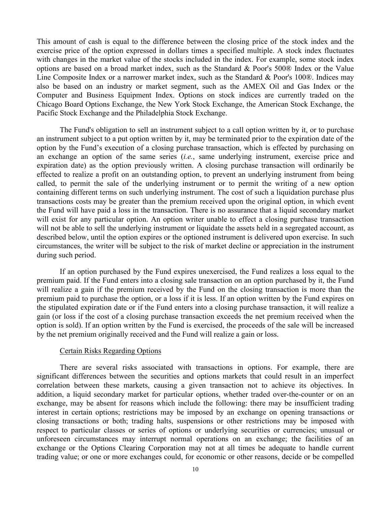This amount of cash is equal to the difference between the closing price of the stock index and the exercise price of the option expressed in dollars times a specified multiple. A stock index fluctuates with changes in the market value of the stocks included in the index. For example, some stock index options are based on a broad market index, such as the Standard & Poor's 500® Index or the Value Line Composite Index or a narrower market index, such as the Standard & Poor's 100®. Indices may also be based on an industry or market segment, such as the AMEX Oil and Gas Index or the Computer and Business Equipment Index. Options on stock indices are currently traded on the Chicago Board Options Exchange, the New York Stock Exchange, the American Stock Exchange, the Pacific Stock Exchange and the Philadelphia Stock Exchange.

The Fund's obligation to sell an instrument subject to a call option written by it, or to purchase an instrument subject to a put option written by it, may be terminated prior to the expiration date of the option by the Fund's execution of a closing purchase transaction, which is effected by purchasing on an exchange an option of the same series (*i.e.*, same underlying instrument, exercise price and expiration date) as the option previously written. A closing purchase transaction will ordinarily be effected to realize a profit on an outstanding option, to prevent an underlying instrument from being called, to permit the sale of the underlying instrument or to permit the writing of a new option containing different terms on such underlying instrument. The cost of such a liquidation purchase plus transactions costs may be greater than the premium received upon the original option, in which event the Fund will have paid a loss in the transaction. There is no assurance that a liquid secondary market will exist for any particular option. An option writer unable to effect a closing purchase transaction will not be able to sell the underlying instrument or liquidate the assets held in a segregated account, as described below, until the option expires or the optioned instrument is delivered upon exercise. In such circumstances, the writer will be subject to the risk of market decline or appreciation in the instrument during such period.

If an option purchased by the Fund expires unexercised, the Fund realizes a loss equal to the premium paid. If the Fund enters into a closing sale transaction on an option purchased by it, the Fund will realize a gain if the premium received by the Fund on the closing transaction is more than the premium paid to purchase the option, or a loss if it is less. If an option written by the Fund expires on the stipulated expiration date or if the Fund enters into a closing purchase transaction, it will realize a gain (or loss if the cost of a closing purchase transaction exceeds the net premium received when the option is sold). If an option written by the Fund is exercised, the proceeds of the sale will be increased by the net premium originally received and the Fund will realize a gain or loss.

### Certain Risks Regarding Options

There are several risks associated with transactions in options. For example, there are significant differences between the securities and options markets that could result in an imperfect correlation between these markets, causing a given transaction not to achieve its objectives. In addition, a liquid secondary market for particular options, whether traded over-the-counter or on an exchange, may be absent for reasons which include the following: there may be insufficient trading interest in certain options; restrictions may be imposed by an exchange on opening transactions or closing transactions or both; trading halts, suspensions or other restrictions may be imposed with respect to particular classes or series of options or underlying securities or currencies; unusual or unforeseen circumstances may interrupt normal operations on an exchange; the facilities of an exchange or the Options Clearing Corporation may not at all times be adequate to handle current trading value; or one or more exchanges could, for economic or other reasons, decide or be compelled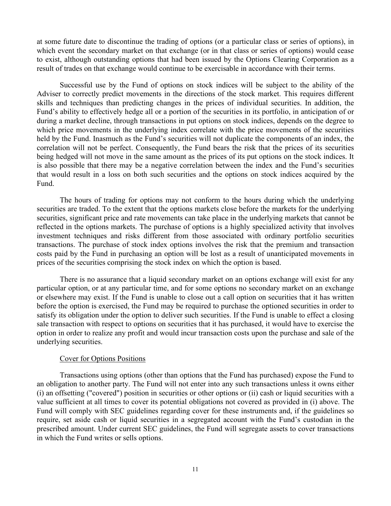at some future date to discontinue the trading of options (or a particular class or series of options), in which event the secondary market on that exchange (or in that class or series of options) would cease to exist, although outstanding options that had been issued by the Options Clearing Corporation as a result of trades on that exchange would continue to be exercisable in accordance with their terms.

Successful use by the Fund of options on stock indices will be subject to the ability of the Adviser to correctly predict movements in the directions of the stock market. This requires different skills and techniques than predicting changes in the prices of individual securities. In addition, the Fund's ability to effectively hedge all or a portion of the securities in its portfolio, in anticipation of or during a market decline, through transactions in put options on stock indices, depends on the degree to which price movements in the underlying index correlate with the price movements of the securities held by the Fund. Inasmuch as the Fund's securities will not duplicate the components of an index, the correlation will not be perfect. Consequently, the Fund bears the risk that the prices of its securities being hedged will not move in the same amount as the prices of its put options on the stock indices. It is also possible that there may be a negative correlation between the index and the Fund's securities that would result in a loss on both such securities and the options on stock indices acquired by the Fund.

The hours of trading for options may not conform to the hours during which the underlying securities are traded. To the extent that the options markets close before the markets for the underlying securities, significant price and rate movements can take place in the underlying markets that cannot be reflected in the options markets. The purchase of options is a highly specialized activity that involves investment techniques and risks different from those associated with ordinary portfolio securities transactions. The purchase of stock index options involves the risk that the premium and transaction costs paid by the Fund in purchasing an option will be lost as a result of unanticipated movements in prices of the securities comprising the stock index on which the option is based.

There is no assurance that a liquid secondary market on an options exchange will exist for any particular option, or at any particular time, and for some options no secondary market on an exchange or elsewhere may exist. If the Fund is unable to close out a call option on securities that it has written before the option is exercised, the Fund may be required to purchase the optioned securities in order to satisfy its obligation under the option to deliver such securities. If the Fund is unable to effect a closing sale transaction with respect to options on securities that it has purchased, it would have to exercise the option in order to realize any profit and would incur transaction costs upon the purchase and sale of the underlying securities.

## Cover for Options Positions

Transactions using options (other than options that the Fund has purchased) expose the Fund to an obligation to another party. The Fund will not enter into any such transactions unless it owns either (i) an offsetting ("covered") position in securities or other options or (ii) cash or liquid securities with a value sufficient at all times to cover its potential obligations not covered as provided in (i) above. The Fund will comply with SEC guidelines regarding cover for these instruments and, if the guidelines so require, set aside cash or liquid securities in a segregated account with the Fund's custodian in the prescribed amount. Under current SEC guidelines, the Fund will segregate assets to cover transactions in which the Fund writes or sells options.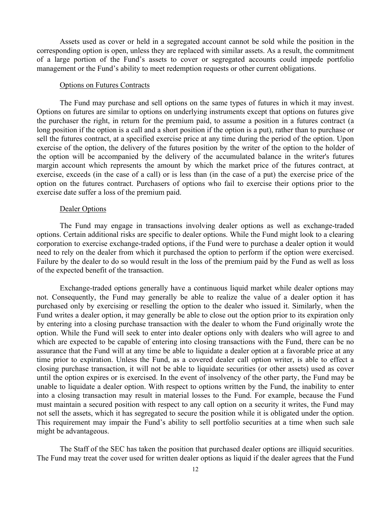Assets used as cover or held in a segregated account cannot be sold while the position in the corresponding option is open, unless they are replaced with similar assets. As a result, the commitment of a large portion of the Fund's assets to cover or segregated accounts could impede portfolio management or the Fund's ability to meet redemption requests or other current obligations.

### Options on Futures Contracts

The Fund may purchase and sell options on the same types of futures in which it may invest. Options on futures are similar to options on underlying instruments except that options on futures give the purchaser the right, in return for the premium paid, to assume a position in a futures contract (a long position if the option is a call and a short position if the option is a put), rather than to purchase or sell the futures contract, at a specified exercise price at any time during the period of the option. Upon exercise of the option, the delivery of the futures position by the writer of the option to the holder of the option will be accompanied by the delivery of the accumulated balance in the writer's futures margin account which represents the amount by which the market price of the futures contract, at exercise, exceeds (in the case of a call) or is less than (in the case of a put) the exercise price of the option on the futures contract. Purchasers of options who fail to exercise their options prior to the exercise date suffer a loss of the premium paid.

### Dealer Options

The Fund may engage in transactions involving dealer options as well as exchange-traded options. Certain additional risks are specific to dealer options. While the Fund might look to a clearing corporation to exercise exchange-traded options, if the Fund were to purchase a dealer option it would need to rely on the dealer from which it purchased the option to perform if the option were exercised. Failure by the dealer to do so would result in the loss of the premium paid by the Fund as well as loss of the expected benefit of the transaction.

Exchange-traded options generally have a continuous liquid market while dealer options may not. Consequently, the Fund may generally be able to realize the value of a dealer option it has purchased only by exercising or reselling the option to the dealer who issued it. Similarly, when the Fund writes a dealer option, it may generally be able to close out the option prior to its expiration only by entering into a closing purchase transaction with the dealer to whom the Fund originally wrote the option. While the Fund will seek to enter into dealer options only with dealers who will agree to and which are expected to be capable of entering into closing transactions with the Fund, there can be no assurance that the Fund will at any time be able to liquidate a dealer option at a favorable price at any time prior to expiration. Unless the Fund, as a covered dealer call option writer, is able to effect a closing purchase transaction, it will not be able to liquidate securities (or other assets) used as cover until the option expires or is exercised. In the event of insolvency of the other party, the Fund may be unable to liquidate a dealer option. With respect to options written by the Fund, the inability to enter into a closing transaction may result in material losses to the Fund. For example, because the Fund must maintain a secured position with respect to any call option on a security it writes, the Fund may not sell the assets, which it has segregated to secure the position while it is obligated under the option. This requirement may impair the Fund's ability to sell portfolio securities at a time when such sale might be advantageous.

The Staff of the SEC has taken the position that purchased dealer options are illiquid securities. The Fund may treat the cover used for written dealer options as liquid if the dealer agrees that the Fund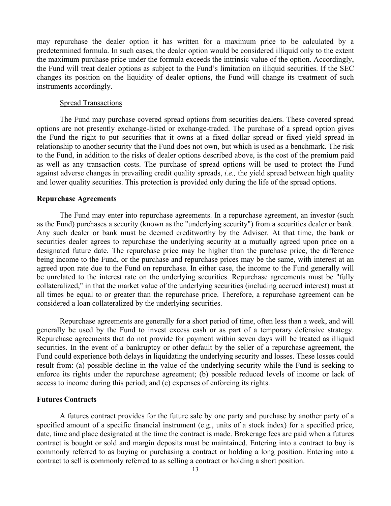may repurchase the dealer option it has written for a maximum price to be calculated by a predetermined formula. In such cases, the dealer option would be considered illiquid only to the extent the maximum purchase price under the formula exceeds the intrinsic value of the option. Accordingly, the Fund will treat dealer options as subject to the Fund's limitation on illiquid securities. If the SEC changes its position on the liquidity of dealer options, the Fund will change its treatment of such instruments accordingly.

# Spread Transactions

The Fund may purchase covered spread options from securities dealers. These covered spread options are not presently exchange-listed or exchange-traded. The purchase of a spread option gives the Fund the right to put securities that it owns at a fixed dollar spread or fixed yield spread in relationship to another security that the Fund does not own, but which is used as a benchmark. The risk to the Fund, in addition to the risks of dealer options described above, is the cost of the premium paid as well as any transaction costs. The purchase of spread options will be used to protect the Fund against adverse changes in prevailing credit quality spreads, *i.e.,* the yield spread between high quality and lower quality securities. This protection is provided only during the life of the spread options.

### **Repurchase Agreements**

The Fund may enter into repurchase agreements. In a repurchase agreement, an investor (such as the Fund) purchases a security (known as the "underlying security") from a securities dealer or bank. Any such dealer or bank must be deemed creditworthy by the Adviser. At that time, the bank or securities dealer agrees to repurchase the underlying security at a mutually agreed upon price on a designated future date. The repurchase price may be higher than the purchase price, the difference being income to the Fund, or the purchase and repurchase prices may be the same, with interest at an agreed upon rate due to the Fund on repurchase. In either case, the income to the Fund generally will be unrelated to the interest rate on the underlying securities. Repurchase agreements must be "fully collateralized," in that the market value of the underlying securities (including accrued interest) must at all times be equal to or greater than the repurchase price. Therefore, a repurchase agreement can be considered a loan collateralized by the underlying securities.

Repurchase agreements are generally for a short period of time, often less than a week, and will generally be used by the Fund to invest excess cash or as part of a temporary defensive strategy. Repurchase agreements that do not provide for payment within seven days will be treated as illiquid securities. In the event of a bankruptcy or other default by the seller of a repurchase agreement, the Fund could experience both delays in liquidating the underlying security and losses. These losses could result from: (a) possible decline in the value of the underlying security while the Fund is seeking to enforce its rights under the repurchase agreement; (b) possible reduced levels of income or lack of access to income during this period; and (c) expenses of enforcing its rights.

### **Futures Contracts**

A futures contract provides for the future sale by one party and purchase by another party of a specified amount of a specific financial instrument (e.g., units of a stock index) for a specified price, date, time and place designated at the time the contract is made. Brokerage fees are paid when a futures contract is bought or sold and margin deposits must be maintained. Entering into a contract to buy is commonly referred to as buying or purchasing a contract or holding a long position. Entering into a contract to sell is commonly referred to as selling a contract or holding a short position.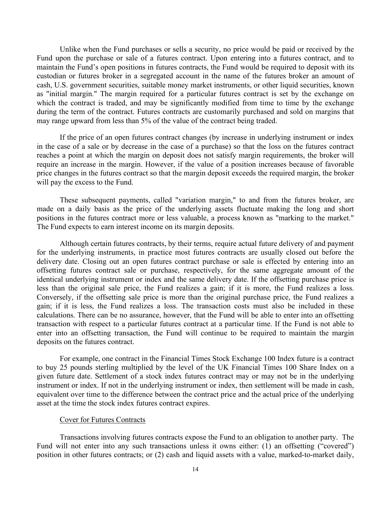Unlike when the Fund purchases or sells a security, no price would be paid or received by the Fund upon the purchase or sale of a futures contract. Upon entering into a futures contract, and to maintain the Fund's open positions in futures contracts, the Fund would be required to deposit with its custodian or futures broker in a segregated account in the name of the futures broker an amount of cash, U.S. government securities, suitable money market instruments, or other liquid securities, known as "initial margin." The margin required for a particular futures contract is set by the exchange on which the contract is traded, and may be significantly modified from time to time by the exchange during the term of the contract. Futures contracts are customarily purchased and sold on margins that may range upward from less than 5% of the value of the contract being traded.

If the price of an open futures contract changes (by increase in underlying instrument or index in the case of a sale or by decrease in the case of a purchase) so that the loss on the futures contract reaches a point at which the margin on deposit does not satisfy margin requirements, the broker will require an increase in the margin. However, if the value of a position increases because of favorable price changes in the futures contract so that the margin deposit exceeds the required margin, the broker will pay the excess to the Fund.

These subsequent payments, called "variation margin," to and from the futures broker, are made on a daily basis as the price of the underlying assets fluctuate making the long and short positions in the futures contract more or less valuable, a process known as "marking to the market." The Fund expects to earn interest income on its margin deposits.

Although certain futures contracts, by their terms, require actual future delivery of and payment for the underlying instruments, in practice most futures contracts are usually closed out before the delivery date. Closing out an open futures contract purchase or sale is effected by entering into an offsetting futures contract sale or purchase, respectively, for the same aggregate amount of the identical underlying instrument or index and the same delivery date. If the offsetting purchase price is less than the original sale price, the Fund realizes a gain; if it is more, the Fund realizes a loss. Conversely, if the offsetting sale price is more than the original purchase price, the Fund realizes a gain; if it is less, the Fund realizes a loss. The transaction costs must also be included in these calculations. There can be no assurance, however, that the Fund will be able to enter into an offsetting transaction with respect to a particular futures contract at a particular time. If the Fund is not able to enter into an offsetting transaction, the Fund will continue to be required to maintain the margin deposits on the futures contract.

For example, one contract in the Financial Times Stock Exchange 100 Index future is a contract to buy 25 pounds sterling multiplied by the level of the UK Financial Times 100 Share Index on a given future date. Settlement of a stock index futures contract may or may not be in the underlying instrument or index. If not in the underlying instrument or index, then settlement will be made in cash, equivalent over time to the difference between the contract price and the actual price of the underlying asset at the time the stock index futures contract expires.

#### Cover for Futures Contracts

Transactions involving futures contracts expose the Fund to an obligation to another party. The Fund will not enter into any such transactions unless it owns either: (1) an offsetting ("covered") position in other futures contracts; or (2) cash and liquid assets with a value, marked-to-market daily,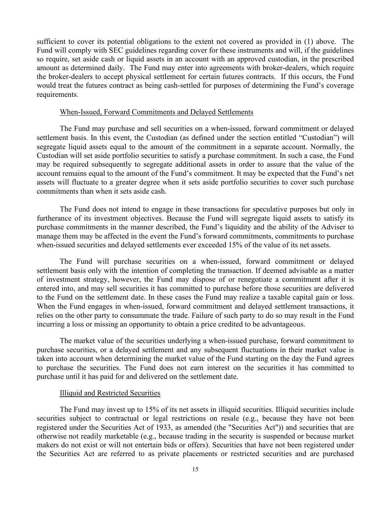sufficient to cover its potential obligations to the extent not covered as provided in (1) above. The Fund will comply with SEC guidelines regarding cover for these instruments and will, if the guidelines so require, set aside cash or liquid assets in an account with an approved custodian, in the prescribed amount as determined daily. The Fund may enter into agreements with broker-dealers, which require the broker-dealers to accept physical settlement for certain futures contracts. If this occurs, the Fund would treat the futures contract as being cash-settled for purposes of determining the Fund's coverage requirements.

### When-Issued, Forward Commitments and Delayed Settlements

The Fund may purchase and sell securities on a when-issued, forward commitment or delayed settlement basis. In this event, the Custodian (as defined under the section entitled "Custodian") will segregate liquid assets equal to the amount of the commitment in a separate account. Normally, the Custodian will set aside portfolio securities to satisfy a purchase commitment. In such a case, the Fund may be required subsequently to segregate additional assets in order to assure that the value of the account remains equal to the amount of the Fund's commitment. It may be expected that the Fund's net assets will fluctuate to a greater degree when it sets aside portfolio securities to cover such purchase commitments than when it sets aside cash.

The Fund does not intend to engage in these transactions for speculative purposes but only in furtherance of its investment objectives. Because the Fund will segregate liquid assets to satisfy its purchase commitments in the manner described, the Fund's liquidity and the ability of the Adviser to manage them may be affected in the event the Fund's forward commitments, commitments to purchase when-issued securities and delayed settlements ever exceeded 15% of the value of its net assets.

The Fund will purchase securities on a when-issued, forward commitment or delayed settlement basis only with the intention of completing the transaction. If deemed advisable as a matter of investment strategy, however, the Fund may dispose of or renegotiate a commitment after it is entered into, and may sell securities it has committed to purchase before those securities are delivered to the Fund on the settlement date. In these cases the Fund may realize a taxable capital gain or loss. When the Fund engages in when-issued, forward commitment and delayed settlement transactions, it relies on the other party to consummate the trade. Failure of such party to do so may result in the Fund incurring a loss or missing an opportunity to obtain a price credited to be advantageous.

The market value of the securities underlying a when-issued purchase, forward commitment to purchase securities, or a delayed settlement and any subsequent fluctuations in their market value is taken into account when determining the market value of the Fund starting on the day the Fund agrees to purchase the securities. The Fund does not earn interest on the securities it has committed to purchase until it has paid for and delivered on the settlement date.

### Illiquid and Restricted Securities

The Fund may invest up to 15% of its net assets in illiquid securities. Illiquid securities include securities subject to contractual or legal restrictions on resale (e.g., because they have not been registered under the Securities Act of 1933, as amended (the "Securities Act")) and securities that are otherwise not readily marketable (e.g., because trading in the security is suspended or because market makers do not exist or will not entertain bids or offers). Securities that have not been registered under the Securities Act are referred to as private placements or restricted securities and are purchased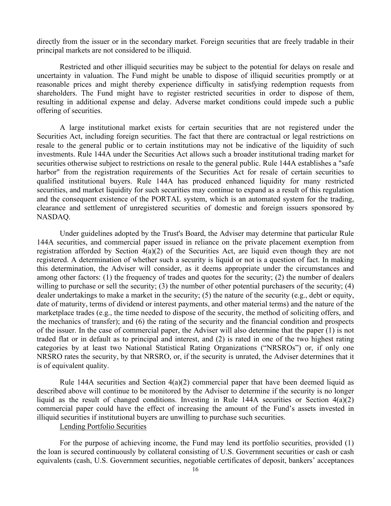directly from the issuer or in the secondary market. Foreign securities that are freely tradable in their principal markets are not considered to be illiquid.

Restricted and other illiquid securities may be subject to the potential for delays on resale and uncertainty in valuation. The Fund might be unable to dispose of illiquid securities promptly or at reasonable prices and might thereby experience difficulty in satisfying redemption requests from shareholders. The Fund might have to register restricted securities in order to dispose of them, resulting in additional expense and delay. Adverse market conditions could impede such a public offering of securities.

A large institutional market exists for certain securities that are not registered under the Securities Act, including foreign securities. The fact that there are contractual or legal restrictions on resale to the general public or to certain institutions may not be indicative of the liquidity of such investments. Rule 144A under the Securities Act allows such a broader institutional trading market for securities otherwise subject to restrictions on resale to the general public. Rule 144A establishes a "safe" harbor" from the registration requirements of the Securities Act for resale of certain securities to qualified institutional buyers. Rule 144A has produced enhanced liquidity for many restricted securities, and market liquidity for such securities may continue to expand as a result of this regulation and the consequent existence of the PORTAL system, which is an automated system for the trading, clearance and settlement of unregistered securities of domestic and foreign issuers sponsored by NASDAQ.

Under guidelines adopted by the Trust's Board, the Adviser may determine that particular Rule 144A securities, and commercial paper issued in reliance on the private placement exemption from registration afforded by Section 4(a)(2) of the Securities Act, are liquid even though they are not registered. A determination of whether such a security is liquid or not is a question of fact. In making this determination, the Adviser will consider, as it deems appropriate under the circumstances and among other factors: (1) the frequency of trades and quotes for the security; (2) the number of dealers willing to purchase or sell the security; (3) the number of other potential purchasers of the security; (4) dealer undertakings to make a market in the security; (5) the nature of the security (e.g., debt or equity, date of maturity, terms of dividend or interest payments, and other material terms) and the nature of the marketplace trades (e.g., the time needed to dispose of the security, the method of soliciting offers, and the mechanics of transfer); and (6) the rating of the security and the financial condition and prospects of the issuer. In the case of commercial paper, the Adviser will also determine that the paper (1) is not traded flat or in default as to principal and interest, and (2) is rated in one of the two highest rating categories by at least two National Statistical Rating Organizations ("NRSROs") or, if only one NRSRO rates the security, by that NRSRO, or, if the security is unrated, the Adviser determines that it is of equivalent quality.

Rule 144A securities and Section  $4(a)(2)$  commercial paper that have been deemed liquid as described above will continue to be monitored by the Adviser to determine if the security is no longer liquid as the result of changed conditions. Investing in Rule 144A securities or Section 4(a)(2) commercial paper could have the effect of increasing the amount of the Fund's assets invested in illiquid securities if institutional buyers are unwilling to purchase such securities.

## Lending Portfolio Securities

For the purpose of achieving income, the Fund may lend its portfolio securities, provided (1) the loan is secured continuously by collateral consisting of U.S. Government securities or cash or cash equivalents (cash, U.S. Government securities, negotiable certificates of deposit, bankers' acceptances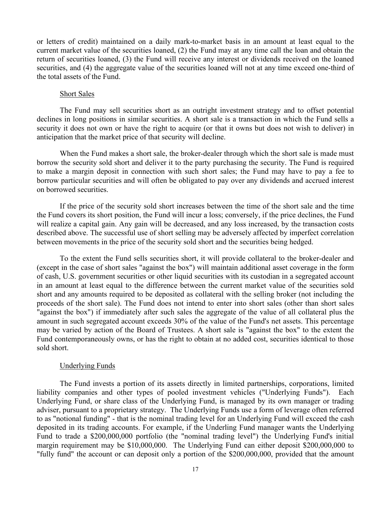or letters of credit) maintained on a daily mark-to-market basis in an amount at least equal to the current market value of the securities loaned, (2) the Fund may at any time call the loan and obtain the return of securities loaned, (3) the Fund will receive any interest or dividends received on the loaned securities, and (4) the aggregate value of the securities loaned will not at any time exceed one-third of the total assets of the Fund.

### Short Sales

The Fund may sell securities short as an outright investment strategy and to offset potential declines in long positions in similar securities. A short sale is a transaction in which the Fund sells a security it does not own or have the right to acquire (or that it owns but does not wish to deliver) in anticipation that the market price of that security will decline.

When the Fund makes a short sale, the broker-dealer through which the short sale is made must borrow the security sold short and deliver it to the party purchasing the security. The Fund is required to make a margin deposit in connection with such short sales; the Fund may have to pay a fee to borrow particular securities and will often be obligated to pay over any dividends and accrued interest on borrowed securities.

If the price of the security sold short increases between the time of the short sale and the time the Fund covers its short position, the Fund will incur a loss; conversely, if the price declines, the Fund will realize a capital gain. Any gain will be decreased, and any loss increased, by the transaction costs described above. The successful use of short selling may be adversely affected by imperfect correlation between movements in the price of the security sold short and the securities being hedged.

To the extent the Fund sells securities short, it will provide collateral to the broker-dealer and (except in the case of short sales "against the box") will maintain additional asset coverage in the form of cash, U.S. government securities or other liquid securities with its custodian in a segregated account in an amount at least equal to the difference between the current market value of the securities sold short and any amounts required to be deposited as collateral with the selling broker (not including the proceeds of the short sale). The Fund does not intend to enter into short sales (other than short sales "against the box") if immediately after such sales the aggregate of the value of all collateral plus the amount in such segregated account exceeds 30% of the value of the Fund's net assets. This percentage may be varied by action of the Board of Trustees. A short sale is "against the box" to the extent the Fund contemporaneously owns, or has the right to obtain at no added cost, securities identical to those sold short.

### Underlying Funds

The Fund invests a portion of its assets directly in limited partnerships, corporations, limited liability companies and other types of pooled investment vehicles ("Underlying Funds"). Each Underlying Fund, or share class of the Underlying Fund, is managed by its own manager or trading adviser, pursuant to a proprietary strategy. The Underlying Funds use a form of leverage often referred to as "notional funding" - that is the nominal trading level for an Underlying Fund will exceed the cash deposited in its trading accounts. For example, if the Underling Fund manager wants the Underlying Fund to trade a \$200,000,000 portfolio (the "nominal trading level") the Underlying Fund's initial margin requirement may be \$10,000,000. The Underlying Fund can either deposit \$200,000,000 to "fully fund" the account or can deposit only a portion of the \$200,000,000, provided that the amount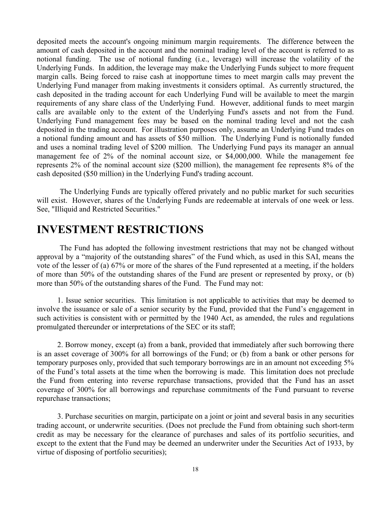deposited meets the account's ongoing minimum margin requirements. The difference between the amount of cash deposited in the account and the nominal trading level of the account is referred to as notional funding. The use of notional funding (i.e., leverage) will increase the volatility of the Underlying Funds. In addition, the leverage may make the Underlying Funds subject to more frequent margin calls. Being forced to raise cash at inopportune times to meet margin calls may prevent the Underlying Fund manager from making investments it considers optimal. As currently structured, the cash deposited in the trading account for each Underlying Fund will be available to meet the margin requirements of any share class of the Underlying Fund. However, additional funds to meet margin calls are available only to the extent of the Underlying Fund's assets and not from the Fund. Underlying Fund management fees may be based on the nominal trading level and not the cash deposited in the trading account. For illustration purposes only, assume an Underlying Fund trades on a notional funding amount and has assets of \$50 million. The Underlying Fund is notionally funded and uses a nominal trading level of \$200 million. The Underlying Fund pays its manager an annual management fee of 2% of the nominal account size, or \$4,000,000. While the management fee represents 2% of the nominal account size (\$200 million), the management fee represents 8% of the cash deposited (\$50 million) in the Underlying Fund's trading account.

The Underlying Funds are typically offered privately and no public market for such securities will exist. However, shares of the Underlying Funds are redeemable at intervals of one week or less. See, "Illiquid and Restricted Securities."

# **INVESTMENT RESTRICTIONS**

The Fund has adopted the following investment restrictions that may not be changed without approval by a "majority of the outstanding shares" of the Fund which, as used in this SAI, means the vote of the lesser of (a) 67% or more of the shares of the Fund represented at a meeting, if the holders of more than 50% of the outstanding shares of the Fund are present or represented by proxy, or (b) more than 50% of the outstanding shares of the Fund. The Fund may not:

1. Issue senior securities. This limitation is not applicable to activities that may be deemed to involve the issuance or sale of a senior security by the Fund, provided that the Fund's engagement in such activities is consistent with or permitted by the 1940 Act, as amended, the rules and regulations promulgated thereunder or interpretations of the SEC or its staff;

2. Borrow money, except (a) from a bank, provided that immediately after such borrowing there is an asset coverage of 300% for all borrowings of the Fund; or (b) from a bank or other persons for temporary purposes only, provided that such temporary borrowings are in an amount not exceeding 5% of the Fund's total assets at the time when the borrowing is made. This limitation does not preclude the Fund from entering into reverse repurchase transactions, provided that the Fund has an asset coverage of 300% for all borrowings and repurchase commitments of the Fund pursuant to reverse repurchase transactions;

3. Purchase securities on margin, participate on a joint or joint and several basis in any securities trading account, or underwrite securities. (Does not preclude the Fund from obtaining such short-term credit as may be necessary for the clearance of purchases and sales of its portfolio securities, and except to the extent that the Fund may be deemed an underwriter under the Securities Act of 1933, by virtue of disposing of portfolio securities);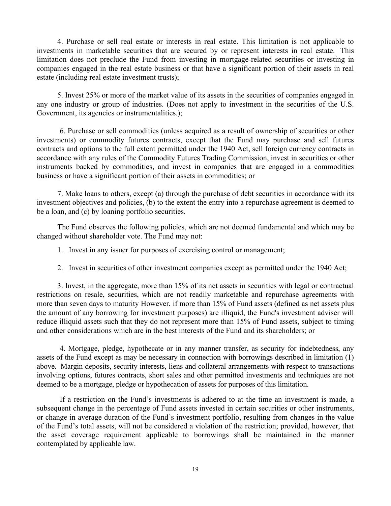4. Purchase or sell real estate or interests in real estate. This limitation is not applicable to investments in marketable securities that are secured by or represent interests in real estate. This limitation does not preclude the Fund from investing in mortgage-related securities or investing in companies engaged in the real estate business or that have a significant portion of their assets in real estate (including real estate investment trusts);

5. Invest 25% or more of the market value of its assets in the securities of companies engaged in any one industry or group of industries. (Does not apply to investment in the securities of the U.S. Government, its agencies or instrumentalities.);

6. Purchase or sell commodities (unless acquired as a result of ownership of securities or other investments) or commodity futures contracts, except that the Fund may purchase and sell futures contracts and options to the full extent permitted under the 1940 Act, sell foreign currency contracts in accordance with any rules of the Commodity Futures Trading Commission, invest in securities or other instruments backed by commodities, and invest in companies that are engaged in a commodities business or have a significant portion of their assets in commodities; or

7. Make loans to others, except (a) through the purchase of debt securities in accordance with its investment objectives and policies, (b) to the extent the entry into a repurchase agreement is deemed to be a loan, and (c) by loaning portfolio securities.

The Fund observes the following policies, which are not deemed fundamental and which may be changed without shareholder vote. The Fund may not:

- 1. Invest in any issuer for purposes of exercising control or management;
- 2. Invest in securities of other investment companies except as permitted under the 1940 Act;

3. Invest, in the aggregate, more than 15% of its net assets in securities with legal or contractual restrictions on resale, securities, which are not readily marketable and repurchase agreements with more than seven days to maturity However, if more than 15% of Fund assets (defined as net assets plus the amount of any borrowing for investment purposes) are illiquid, the Fund's investment adviser will reduce illiquid assets such that they do not represent more than 15% of Fund assets, subject to timing and other considerations which are in the best interests of the Fund and its shareholders; or

4. Mortgage, pledge, hypothecate or in any manner transfer, as security for indebtedness, any assets of the Fund except as may be necessary in connection with borrowings described in limitation (1) above. Margin deposits, security interests, liens and collateral arrangements with respect to transactions involving options, futures contracts, short sales and other permitted investments and techniques are not deemed to be a mortgage, pledge or hypothecation of assets for purposes of this limitation.

If a restriction on the Fund's investments is adhered to at the time an investment is made, a subsequent change in the percentage of Fund assets invested in certain securities or other instruments, or change in average duration of the Fund's investment portfolio, resulting from changes in the value of the Fund's total assets, will not be considered a violation of the restriction; provided, however, that the asset coverage requirement applicable to borrowings shall be maintained in the manner contemplated by applicable law.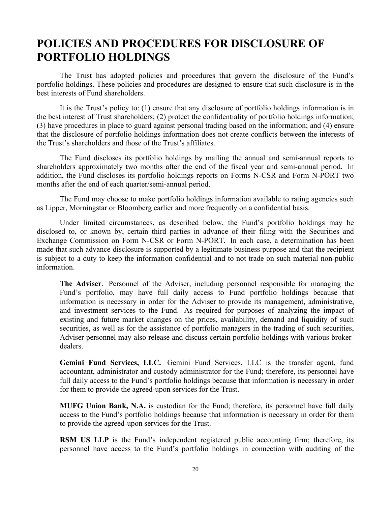# **POLICIES AND PROCEDURES FOR DISCLOSURE OF PORTFOLIO HOLDINGS**

The Trust has adopted policies and procedures that govern the disclosure of the Fund's portfolio holdings. These policies and procedures are designed to ensure that such disclosure is in the best interests of Fund shareholders.

It is the Trust's policy to: (1) ensure that any disclosure of portfolio holdings information is in the best interest of Trust shareholders; (2) protect the confidentiality of portfolio holdings information; (3) have procedures in place to guard against personal trading based on the information; and (4) ensure that the disclosure of portfolio holdings information does not create conflicts between the interests of the Trust's shareholders and those of the Trust's affiliates.

The Fund discloses its portfolio holdings by mailing the annual and semi-annual reports to shareholders approximately two months after the end of the fiscal year and semi-annual period. In addition, the Fund discloses its portfolio holdings reports on Forms N-CSR and Form N-PORT two months after the end of each quarter/semi-annual period.

The Fund may choose to make portfolio holdings information available to rating agencies such as Lipper, Morningstar or Bloomberg earlier and more frequently on a confidential basis.

Under limited circumstances, as described below, the Fund's portfolio holdings may be disclosed to, or known by, certain third parties in advance of their filing with the Securities and Exchange Commission on Form N-CSR or Form N-PORT. In each case, a determination has been made that such advance disclosure is supported by a legitimate business purpose and that the recipient is subject to a duty to keep the information confidential and to not trade on such material non-public information.

**The Adviser**. Personnel of the Adviser, including personnel responsible for managing the Fund's portfolio, may have full daily access to Fund portfolio holdings because that information is necessary in order for the Adviser to provide its management, administrative, and investment services to the Fund. As required for purposes of analyzing the impact of existing and future market changes on the prices, availability, demand and liquidity of such securities, as well as for the assistance of portfolio managers in the trading of such securities, Adviser personnel may also release and discuss certain portfolio holdings with various brokerdealers.

**Gemini Fund Services, LLC.** Gemini Fund Services, LLC is the transfer agent, fund accountant, administrator and custody administrator for the Fund; therefore, its personnel have full daily access to the Fund's portfolio holdings because that information is necessary in order for them to provide the agreed-upon services for the Trust.

**MUFG Union Bank, N.A.** is custodian for the Fund; therefore, its personnel have full daily access to the Fund's portfolio holdings because that information is necessary in order for them to provide the agreed-upon services for the Trust.

**RSM US LLP** is the Fund's independent registered public accounting firm; therefore, its personnel have access to the Fund's portfolio holdings in connection with auditing of the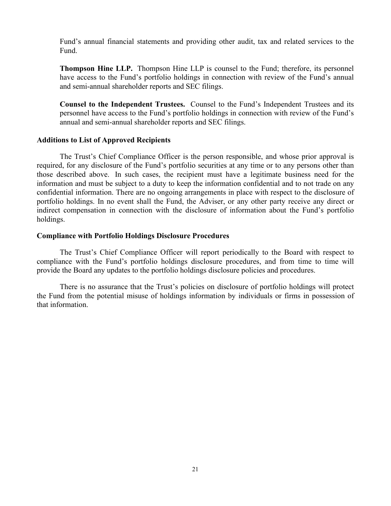Fund's annual financial statements and providing other audit, tax and related services to the Fund.

**Thompson Hine LLP.** Thompson Hine LLP is counsel to the Fund; therefore, its personnel have access to the Fund's portfolio holdings in connection with review of the Fund's annual and semi-annual shareholder reports and SEC filings.

**Counsel to the Independent Trustees.** Counsel to the Fund's Independent Trustees and its personnel have access to the Fund's portfolio holdings in connection with review of the Fund's annual and semi-annual shareholder reports and SEC filings.

## **Additions to List of Approved Recipients**

The Trust's Chief Compliance Officer is the person responsible, and whose prior approval is required, for any disclosure of the Fund's portfolio securities at any time or to any persons other than those described above. In such cases, the recipient must have a legitimate business need for the information and must be subject to a duty to keep the information confidential and to not trade on any confidential information. There are no ongoing arrangements in place with respect to the disclosure of portfolio holdings. In no event shall the Fund, the Adviser, or any other party receive any direct or indirect compensation in connection with the disclosure of information about the Fund's portfolio holdings.

### **Compliance with Portfolio Holdings Disclosure Procedures**

The Trust's Chief Compliance Officer will report periodically to the Board with respect to compliance with the Fund's portfolio holdings disclosure procedures, and from time to time will provide the Board any updates to the portfolio holdings disclosure policies and procedures.

There is no assurance that the Trust's policies on disclosure of portfolio holdings will protect the Fund from the potential misuse of holdings information by individuals or firms in possession of that information.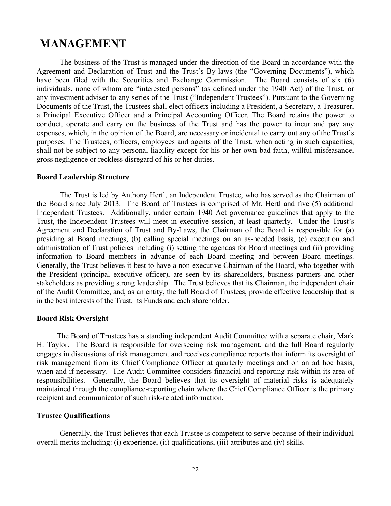# **MANAGEMENT**

The business of the Trust is managed under the direction of the Board in accordance with the Agreement and Declaration of Trust and the Trust's By-laws (the "Governing Documents"), which have been filed with the Securities and Exchange Commission. The Board consists of six (6) individuals, none of whom are "interested persons" (as defined under the 1940 Act) of the Trust, or any investment adviser to any series of the Trust ("Independent Trustees"). Pursuant to the Governing Documents of the Trust, the Trustees shall elect officers including a President, a Secretary, a Treasurer, a Principal Executive Officer and a Principal Accounting Officer. The Board retains the power to conduct, operate and carry on the business of the Trust and has the power to incur and pay any expenses, which, in the opinion of the Board, are necessary or incidental to carry out any of the Trust's purposes. The Trustees, officers, employees and agents of the Trust, when acting in such capacities, shall not be subject to any personal liability except for his or her own bad faith, willful misfeasance, gross negligence or reckless disregard of his or her duties.

### **Board Leadership Structure**

The Trust is led by Anthony Hertl, an Independent Trustee, who has served as the Chairman of the Board since July 2013. The Board of Trustees is comprised of Mr. Hertl and five (5) additional Independent Trustees. Additionally, under certain 1940 Act governance guidelines that apply to the Trust, the Independent Trustees will meet in executive session, at least quarterly. Under the Trust's Agreement and Declaration of Trust and By-Laws, the Chairman of the Board is responsible for (a) presiding at Board meetings, (b) calling special meetings on an as-needed basis, (c) execution and administration of Trust policies including (i) setting the agendas for Board meetings and (ii) providing information to Board members in advance of each Board meeting and between Board meetings. Generally, the Trust believes it best to have a non-executive Chairman of the Board, who together with the President (principal executive officer), are seen by its shareholders, business partners and other stakeholders as providing strong leadership. The Trust believes that its Chairman, the independent chair of the Audit Committee, and, as an entity, the full Board of Trustees, provide effective leadership that is in the best interests of the Trust, its Funds and each shareholder.

### **Board Risk Oversight**

The Board of Trustees has a standing independent Audit Committee with a separate chair, Mark H. Taylor. The Board is responsible for overseeing risk management, and the full Board regularly engages in discussions of risk management and receives compliance reports that inform its oversight of risk management from its Chief Compliance Officer at quarterly meetings and on an ad hoc basis, when and if necessary. The Audit Committee considers financial and reporting risk within its area of responsibilities. Generally, the Board believes that its oversight of material risks is adequately maintained through the compliance-reporting chain where the Chief Compliance Officer is the primary recipient and communicator of such risk-related information.

## **Trustee Qualifications**

Generally, the Trust believes that each Trustee is competent to serve because of their individual overall merits including: (i) experience, (ii) qualifications, (iii) attributes and (iv) skills.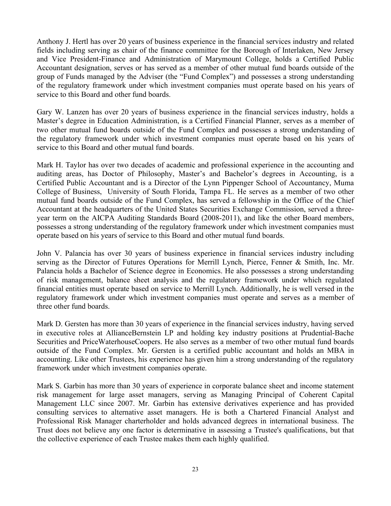Anthony J. Hertl has over 20 years of business experience in the financial services industry and related fields including serving as chair of the finance committee for the Borough of Interlaken, New Jersey and Vice President-Finance and Administration of Marymount College, holds a Certified Public Accountant designation, serves or has served as a member of other mutual fund boards outside of the group of Funds managed by the Adviser (the "Fund Complex") and possesses a strong understanding of the regulatory framework under which investment companies must operate based on his years of service to this Board and other fund boards.

Gary W. Lanzen has over 20 years of business experience in the financial services industry, holds a Master's degree in Education Administration, is a Certified Financial Planner, serves as a member of two other mutual fund boards outside of the Fund Complex and possesses a strong understanding of the regulatory framework under which investment companies must operate based on his years of service to this Board and other mutual fund boards.

Mark H. Taylor has over two decades of academic and professional experience in the accounting and auditing areas, has Doctor of Philosophy, Master's and Bachelor's degrees in Accounting, is a Certified Public Accountant and is a Director of the Lynn Pippenger School of Accountancy, Muma College of Business, University of South Florida, Tampa FL. He serves as a member of two other mutual fund boards outside of the Fund Complex, has served a fellowship in the Office of the Chief Accountant at the headquarters of the United States Securities Exchange Commission, served a threeyear term on the AICPA Auditing Standards Board (2008-2011), and like the other Board members, possesses a strong understanding of the regulatory framework under which investment companies must operate based on his years of service to this Board and other mutual fund boards.

John V. Palancia has over 30 years of business experience in financial services industry including serving as the Director of Futures Operations for Merrill Lynch, Pierce, Fenner & Smith, Inc. Mr. Palancia holds a Bachelor of Science degree in Economics. He also possesses a strong understanding of risk management, balance sheet analysis and the regulatory framework under which regulated financial entities must operate based on service to Merrill Lynch. Additionally, he is well versed in the regulatory framework under which investment companies must operate and serves as a member of three other fund boards.

Mark D. Gersten has more than 30 years of experience in the financial services industry, having served in executive roles at AllianceBernstein LP and holding key industry positions at Prudential-Bache Securities and PriceWaterhouseCoopers. He also serves as a member of two other mutual fund boards outside of the Fund Complex. Mr. Gersten is a certified public accountant and holds an MBA in accounting. Like other Trustees, his experience has given him a strong understanding of the regulatory framework under which investment companies operate.

Mark S. Garbin has more than 30 years of experience in corporate balance sheet and income statement risk management for large asset managers, serving as Managing Principal of Coherent Capital Management LLC since 2007. Mr. Garbin has extensive derivatives experience and has provided consulting services to alternative asset managers. He is both a Chartered Financial Analyst and Professional Risk Manager charterholder and holds advanced degrees in international business. The Trust does not believe any one factor is determinative in assessing a Trustee's qualifications, but that the collective experience of each Trustee makes them each highly qualified.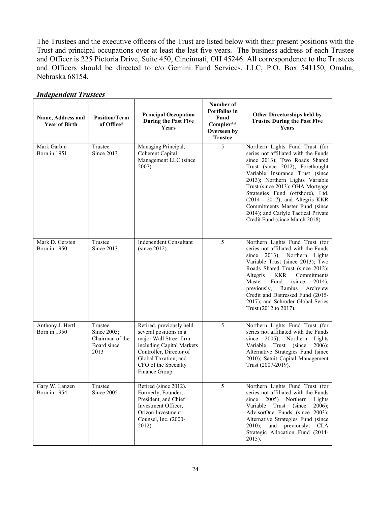The Trustees and the executive officers of the Trust are listed below with their present positions with the Trust and principal occupations over at least the last five years. The business address of each Trustee and Officer is 225 Pictoria Drive, Suite 450, Cincinnati, OH 45246. All correspondence to the Trustees and Officers should be directed to c/o Gemini Fund Services, LLC, P.O. Box 541150, Omaha, Nebraska 68154.

| Name, Address and<br><b>Year of Birth</b> | <b>Position/Term</b><br>of Office*                               | <b>Principal Occupation</b><br>During the Past Five<br>Years                                                                                                                                           | Number of<br>Portfolios in<br>Fund<br>Complex**<br>Overseen by<br><b>Trustee</b> | <b>Other Directorships held by</b><br><b>Trustee During the Past Five</b><br>Years                                                                                                                                                                                                                                                                                                                                                       |
|-------------------------------------------|------------------------------------------------------------------|--------------------------------------------------------------------------------------------------------------------------------------------------------------------------------------------------------|----------------------------------------------------------------------------------|------------------------------------------------------------------------------------------------------------------------------------------------------------------------------------------------------------------------------------------------------------------------------------------------------------------------------------------------------------------------------------------------------------------------------------------|
| Mark Garbin<br>Born in 1951               | Trustee<br>Since 2013                                            | Managing Principal,<br>Coherent Capital<br>Management LLC (since<br>2007).                                                                                                                             | 5                                                                                | Northern Lights Fund Trust (for<br>series not affiliated with the Funds<br>since 2013); Two Roads Shared<br>Trust (since 2012); Forethought<br>Variable Insurance Trust (since<br>2013); Northern Lights Variable<br>Trust (since 2013); OHA Mortgage<br>Strategies Fund (offshore), Ltd.<br>(2014 - 2017); and Altegris KKR<br>Commitments Master Fund (since<br>2014); and Carlyle Tactical Private<br>Credit Fund (since March 2018). |
| Mark D. Gersten<br>Born in 1950           | Trustee<br>Since 2013                                            | Independent Consultant<br>(since 2012).                                                                                                                                                                | 5                                                                                | Northern Lights Fund Trust (for<br>series not affiliated with the Funds<br>since 2013); Northern Lights<br>Variable Trust (since 2013); Two<br>Roads Shared Trust (since 2012);<br>Altegris<br>KKR<br>Commitments<br>Fund<br>(since<br>Master<br>2014);<br>previously,<br>Ramius<br>Archview<br>Credit and Distressed Fund (2015-<br>2017); and Schroder Global Series<br>Trust (2012 to 2017).                                          |
| Anthony J. Hertl<br>Born in 1950          | Trustee<br>Since 2005;<br>Chairman of the<br>Board since<br>2013 | Retired, previously held<br>several positions in a<br>major Wall Street firm<br>including Capital Markets<br>Controller, Director of<br>Global Taxation, and<br>CFO of the Specialty<br>Finance Group. | 5                                                                                | Northern Lights Fund Trust (for<br>series not affiliated with the Funds<br>2005); Northern<br>since<br>Lights<br>Variable<br>Trust (since<br>2006);<br>Alternative Strategies Fund (since<br>2010); Satuit Capital Management<br>Trust (2007-2019).                                                                                                                                                                                      |
| Gary W. Lanzen<br>Born in 1954            | Trustee<br>Since 2005                                            | Retired (since 2012)<br>Formerly, Founder,<br>President, and Chief<br>Investment Officer,<br>Orizon Investment<br>Counsel, Inc. (2000-<br>$2012$ ).                                                    | 5                                                                                | Northern Lights Fund Trust (for<br>series not affiliated with the Funds<br>2005) Northern<br>since<br>Lights<br>Variable<br>Trust (since<br>2006);<br>AdvisorOne Funds (since 2003);<br>Alternative Strategies Fund (since<br>$2010$ ;<br>and previously,<br><b>CLA</b><br>Strategic Allocation Fund (2014-<br>$2015$ ).                                                                                                                 |

# *Independent Trustees*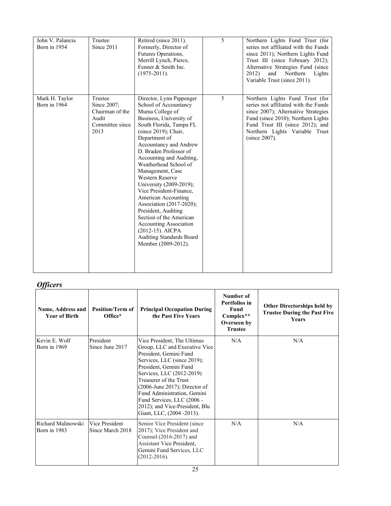| John V. Palancia<br>Born in 1954 | Trustee<br>Since 2011                                                         | Retired (since 2011).<br>Formerly, Director of<br>Futures Operations,<br>Merrill Lynch, Pierce,<br>Fenner & Smith Inc.<br>$(1975 - 2011)$ .                                                                                                                                                                                                                                                                                                                                                                                                                                                      | 5 | Northern Lights Fund Trust (for<br>series not affiliated with the Funds<br>since 2011); Northern Lights Fund<br>Trust III (since February 2012);<br>Alternative Strategies Fund (since<br>2012)<br>and<br>Northern<br>Lights<br>Variable Trust (since 2011). |
|----------------------------------|-------------------------------------------------------------------------------|--------------------------------------------------------------------------------------------------------------------------------------------------------------------------------------------------------------------------------------------------------------------------------------------------------------------------------------------------------------------------------------------------------------------------------------------------------------------------------------------------------------------------------------------------------------------------------------------------|---|--------------------------------------------------------------------------------------------------------------------------------------------------------------------------------------------------------------------------------------------------------------|
| Mark H. Taylor<br>Born in 1964   | Trustee<br>Since 2007;<br>Chairman of the<br>Audit<br>Committee since<br>2013 | Director, Lynn Pippenger<br>School of Accountancy<br>Muma College of<br>Business, University of<br>South Florida, Tampa FL<br>$(since 2019)$ ; Chair,<br>Department of<br>Accountancy and Andrew<br>D. Braden Professor of<br>Accounting and Auditing,<br>Weatherhead School of<br>Management, Case<br><b>Western Reserve</b><br>University (2009-2019);<br>Vice President-Finance,<br>American Accounting<br>Association (2017-2020);<br>President, Auditing<br>Section of the American<br><b>Accounting Association</b><br>(2012-15). AICPA<br>Auditing Standards Board<br>Member (2009-2012). | 5 | Northern Lights Fund Trust (for<br>series not affiliated with the Funds<br>since 2007); Alternative Strategies<br>Fund (since 2010); Northern Lights<br>Fund Trust III (since 2012); and<br>Northern Lights Variable Trust<br>(since 2007).                  |

# *Officers*

| Name, Address and<br><b>Year of Birth</b> | <b>Position/Term of</b><br>Office* | <b>Principal Occupation During</b><br>the Past Five Years                                                                                                                                                                                                                                                                                                              | Number of<br><b>Portfolios in</b><br>Fund<br>Complex**<br>Overseen by<br><b>Trustee</b> | <b>Other Directorships held by</b><br><b>Trustee During the Past Five</b><br><b>Years</b> |
|-------------------------------------------|------------------------------------|------------------------------------------------------------------------------------------------------------------------------------------------------------------------------------------------------------------------------------------------------------------------------------------------------------------------------------------------------------------------|-----------------------------------------------------------------------------------------|-------------------------------------------------------------------------------------------|
| Kevin E. Wolf<br>Born in 1969             | President<br>Since June 2017       | Vice President, The Ultimus<br>Group, LLC and Executive Vice<br>President, Gemini Fund<br>Services, LLC (since 2019);<br>President, Gemini Fund<br>Services, LLC (2012-2019)<br>Treasurer of the Trust<br>$(2006$ -June 2017); Director of<br>Fund Administration, Gemini<br>Fund Services, LLC (2006 -<br>2012); and Vice-President, Blu<br>Giant, LLC, (2004 -2013). | N/A                                                                                     | N/A                                                                                       |
| Richard Malinowski<br><b>Born</b> in 1983 | Vice President<br>Since March 2018 | Senior Vice President (since)<br>2017); Vice President and<br>Counsel (2016-2017) and<br>Assistant Vice President,<br>Gemini Fund Services, LLC<br>$(2012 - 2016).$                                                                                                                                                                                                    | N/A                                                                                     | N/A                                                                                       |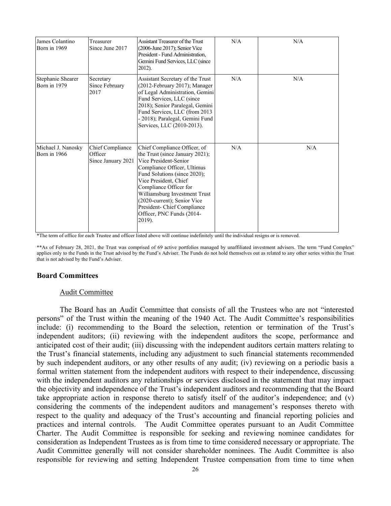| James Colantino<br>Born in 1969           | Assistant Treasurer of the Trust<br>Treasurer<br>Since June 2017<br>(2006-June 2017); Senior Vice<br>President - Fund Administration,<br>Gemini Fund Services, LLC (since<br>2012). |                                                                                                                                                                                                                                                                                                                                                  | N/A | N/A |
|-------------------------------------------|-------------------------------------------------------------------------------------------------------------------------------------------------------------------------------------|--------------------------------------------------------------------------------------------------------------------------------------------------------------------------------------------------------------------------------------------------------------------------------------------------------------------------------------------------|-----|-----|
| Stephanie Shearer<br><b>Born</b> in 1979  | Secretary<br>Since February<br>2017                                                                                                                                                 | Assistant Secretary of the Trust<br>(2012-February 2017); Manager<br>of Legal Administration, Gemini<br>Fund Services, LLC (since<br>2018); Senior Paralegal, Gemini<br>Fund Services, LLC (from 2013<br>- 2018); Paralegal, Gemini Fund<br>Services, LLC (2010-2013).                                                                           | N/A | N/A |
| Michael J. Nanosky<br><b>Born</b> in 1966 | Chief Compliance<br>Officer<br>Since January 2021                                                                                                                                   | Chief Compliance Officer, of<br>the Trust (since January 2021);<br>Vice President-Senior<br>Compliance Officer, Ultimus<br>Fund Solutions (since 2020);<br>Vice President, Chief<br>Compliance Officer for<br>Williamsburg Investment Trust<br>(2020-current); Senior Vice<br>President- Chief Compliance<br>Officer, PNC Funds (2014-<br>2019). | N/A | N/A |

\*The term of office for each Trustee and officer listed above will continue indefinitely until the individual resigns or is removed.

\*\*As of February 28, 2021, the Trust was comprised of 69 active portfolios managed by unaffiliated investment advisers. The term "Fund Complex" applies only to the Funds in the Trust advised by the Fund's Adviser. The Funds do not hold themselves out as related to any other series within the Trust that is not advised by the Fund's Adviser.

## **Board Committees**

### Audit Committee

The Board has an Audit Committee that consists of all the Trustees who are not "interested persons" of the Trust within the meaning of the 1940 Act. The Audit Committee's responsibilities include: (i) recommending to the Board the selection, retention or termination of the Trust's independent auditors; (ii) reviewing with the independent auditors the scope, performance and anticipated cost of their audit; (iii) discussing with the independent auditors certain matters relating to the Trust's financial statements, including any adjustment to such financial statements recommended by such independent auditors, or any other results of any audit; (iv) reviewing on a periodic basis a formal written statement from the independent auditors with respect to their independence, discussing with the independent auditors any relationships or services disclosed in the statement that may impact the objectivity and independence of the Trust's independent auditors and recommending that the Board take appropriate action in response thereto to satisfy itself of the auditor's independence; and (v) considering the comments of the independent auditors and management's responses thereto with respect to the quality and adequacy of the Trust's accounting and financial reporting policies and practices and internal controls. The Audit Committee operates pursuant to an Audit Committee Charter. The Audit Committee is responsible for seeking and reviewing nominee candidates for consideration as Independent Trustees as is from time to time considered necessary or appropriate. The Audit Committee generally will not consider shareholder nominees. The Audit Committee is also responsible for reviewing and setting Independent Trustee compensation from time to time when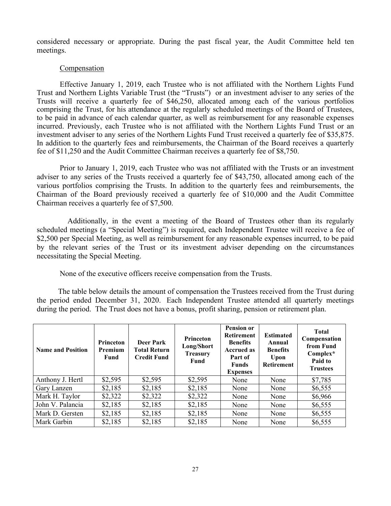considered necessary or appropriate. During the past fiscal year, the Audit Committee held ten meetings.

## Compensation

Effective January 1, 2019, each Trustee who is not affiliated with the Northern Lights Fund Trust and Northern Lights Variable Trust (the "Trusts") or an investment adviser to any series of the Trusts will receive a quarterly fee of \$46,250, allocated among each of the various portfolios comprising the Trust, for his attendance at the regularly scheduled meetings of the Board of Trustees, to be paid in advance of each calendar quarter, as well as reimbursement for any reasonable expenses incurred. Previously, each Trustee who is not affiliated with the Northern Lights Fund Trust or an investment adviser to any series of the Northern Lights Fund Trust received a quarterly fee of \$35,875. In addition to the quarterly fees and reimbursements, the Chairman of the Board receives a quarterly fee of \$11,250 and the Audit Committee Chairman receives a quarterly fee of \$8,750.

Prior to January 1, 2019, each Trustee who was not affiliated with the Trusts or an investment adviser to any series of the Trusts received a quarterly fee of \$43,750, allocated among each of the various portfolios comprising the Trusts. In addition to the quarterly fees and reimbursements, the Chairman of the Board previously received a quarterly fee of \$10,000 and the Audit Committee Chairman receives a quarterly fee of \$7,500.

Additionally, in the event a meeting of the Board of Trustees other than its regularly scheduled meetings (a "Special Meeting") is required, each Independent Trustee will receive a fee of \$2,500 per Special Meeting, as well as reimbursement for any reasonable expenses incurred, to be paid by the relevant series of the Trust or its investment adviser depending on the circumstances necessitating the Special Meeting.

None of the executive officers receive compensation from the Trusts.

The table below details the amount of compensation the Trustees received from the Trust during the period ended December 31, 2020. Each Independent Trustee attended all quarterly meetings during the period. The Trust does not have a bonus, profit sharing, pension or retirement plan.

| <b>Name and Position</b> | Princeton<br><b>Premium</b><br>Fund | Deer Park<br><b>Total Return</b><br><b>Credit Fund</b> | Princeton<br>Long/Short<br><b>Treasury</b><br>Fund | <b>Pension or</b><br><b>Retirement</b><br><b>Benefits</b><br><b>Accrued as</b><br>Part of<br><b>Funds</b><br><b>Expenses</b> | <b>Estimated</b><br>Annual<br><b>Benefits</b><br>Upon<br><b>Retirement</b> | Total<br>Compensation<br>from Fund<br>Complex*<br>Paid to<br><b>Trustees</b> |
|--------------------------|-------------------------------------|--------------------------------------------------------|----------------------------------------------------|------------------------------------------------------------------------------------------------------------------------------|----------------------------------------------------------------------------|------------------------------------------------------------------------------|
| Anthony J. Hertl         | \$2,595                             | \$2,595                                                | \$2,595                                            | None                                                                                                                         | None                                                                       | \$7,785                                                                      |
| Gary Lanzen              | \$2,185                             | \$2,185                                                | \$2,185                                            | None                                                                                                                         | None                                                                       | \$6,555                                                                      |
| Mark H. Taylor           | \$2,322                             | \$2,322                                                | \$2,322                                            | None                                                                                                                         | None                                                                       | \$6,966                                                                      |
| John V. Palancia         | \$2,185                             | \$2,185                                                | \$2,185                                            | None                                                                                                                         | None                                                                       | \$6,555                                                                      |
| Mark D. Gersten          | \$2,185                             | \$2,185                                                | \$2,185                                            | None                                                                                                                         | None                                                                       | \$6,555                                                                      |
| Mark Garbin              | \$2,185                             | \$2,185                                                | \$2,185                                            | None                                                                                                                         | None                                                                       | \$6,555                                                                      |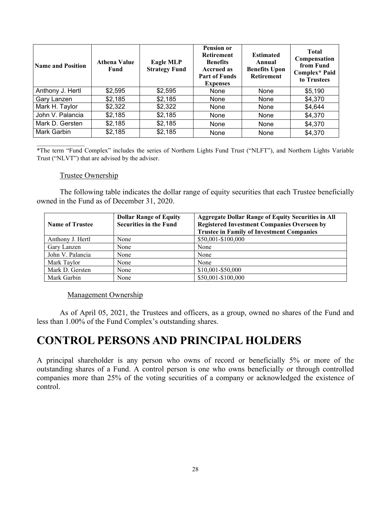| <b>Name and Position</b> | <b>Athena Value</b><br>Fund | <b>Eagle MLP</b><br><b>Strategy Fund</b> | <b>Pension or</b><br><b>Retirement</b><br><b>Benefits</b><br><b>Accrued as</b><br><b>Part of Funds</b><br><b>Expenses</b> | <b>Estimated</b><br>Annual<br><b>Benefits Upon</b><br>Retirement | <b>Total</b><br>Compensation<br>from Fund<br>Complex* Paid<br>to Trustees |
|--------------------------|-----------------------------|------------------------------------------|---------------------------------------------------------------------------------------------------------------------------|------------------------------------------------------------------|---------------------------------------------------------------------------|
| Anthony J. Hertl         | \$2,595                     | \$2,595                                  | None                                                                                                                      | None                                                             | \$5,190                                                                   |
| Gary Lanzen              | \$2,185                     | \$2,185                                  | None                                                                                                                      | None                                                             | \$4,370                                                                   |
| Mark H. Taylor           | \$2,322                     | \$2,322                                  | None                                                                                                                      | None                                                             | \$4,644                                                                   |
| John V. Palancia         | \$2,185                     | \$2,185                                  | None                                                                                                                      | None                                                             | \$4,370                                                                   |
| Mark D. Gersten          | \$2,185                     | \$2,185                                  | <b>None</b>                                                                                                               | None                                                             | \$4,370                                                                   |
| Mark Garbin              | \$2,185                     | \$2,185                                  | None                                                                                                                      | None                                                             | \$4,370                                                                   |

\*The term "Fund Complex" includes the series of Northern Lights Fund Trust ("NLFT"), and Northern Lights Variable Trust ("NLVT") that are advised by the adviser.

### Trustee Ownership

 $\mathcal{L}_\text{max}$  , where  $\mathcal{L}_\text{max}$ 

The following table indicates the dollar range of equity securities that each Trustee beneficially owned in the Fund as of December 31, 2020.

| <b>Name of Trustee</b> | <b>Dollar Range of Equity</b><br><b>Securities in the Fund</b> | <b>Aggregate Dollar Range of Equity Securities in All</b><br><b>Registered Investment Companies Overseen by</b><br><b>Trustee in Family of Investment Companies</b> |
|------------------------|----------------------------------------------------------------|---------------------------------------------------------------------------------------------------------------------------------------------------------------------|
| Anthony J. Hertl       | None                                                           | \$50,001-\$100,000                                                                                                                                                  |
| Gary Lanzen            | None                                                           | None                                                                                                                                                                |
| John V. Palancia       | None                                                           | None                                                                                                                                                                |
| Mark Taylor            | None                                                           | None                                                                                                                                                                |
| Mark D. Gersten        | None                                                           | \$10,001-\$50,000                                                                                                                                                   |
| Mark Garbin            | None                                                           | \$50,001-\$100,000                                                                                                                                                  |

### Management Ownership

As of April 05, 2021, the Trustees and officers, as a group, owned no shares of the Fund and less than 1.00% of the Fund Complex's outstanding shares.

# **CONTROL PERSONS AND PRINCIPAL HOLDERS**

A principal shareholder is any person who owns of record or beneficially 5% or more of the outstanding shares of a Fund. A control person is one who owns beneficially or through controlled companies more than 25% of the voting securities of a company or acknowledged the existence of control.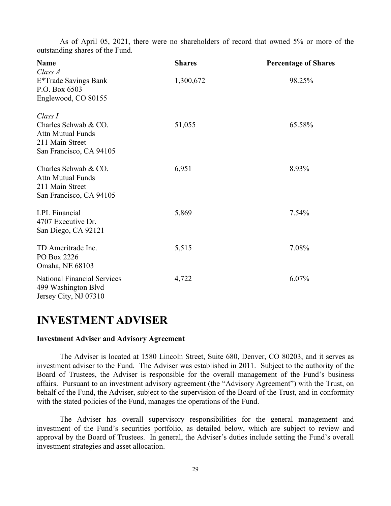As of April 05, 2021, there were no shareholders of record that owned 5% or more of the outstanding shares of the Fund.

| <b>Name</b><br>Class A                                                                                    | <b>Shares</b> | <b>Percentage of Shares</b> |
|-----------------------------------------------------------------------------------------------------------|---------------|-----------------------------|
| E*Trade Savings Bank<br>P.O. Box 6503<br>Englewood, CO 80155                                              | 1,300,672     | 98.25%                      |
| Class I<br>Charles Schwab & CO.<br><b>Attn Mutual Funds</b><br>211 Main Street<br>San Francisco, CA 94105 | 51,055        | 65.58%                      |
| Charles Schwab & CO.<br><b>Attn Mutual Funds</b><br>211 Main Street<br>San Francisco, CA 94105            | 6,951         | 8.93%                       |
| <b>LPL</b> Financial<br>4707 Executive Dr.<br>San Diego, CA 92121                                         | 5,869         | 7.54%                       |
| TD Ameritrade Inc.<br>PO Box 2226<br>Omaha, NE 68103                                                      | 5,515         | 7.08%                       |
| <b>National Financial Services</b><br>499 Washington Blvd<br>Jersey City, NJ 07310                        | 4,722         | 6.07%                       |

# **INVESTMENT ADVISER**

## **Investment Adviser and Advisory Agreement**

The Adviser is located at 1580 Lincoln Street, Suite 680, Denver, CO 80203, and it serves as investment adviser to the Fund. The Adviser was established in 2011. Subject to the authority of the Board of Trustees, the Adviser is responsible for the overall management of the Fund's business affairs. Pursuant to an investment advisory agreement (the "Advisory Agreement") with the Trust, on behalf of the Fund, the Adviser, subject to the supervision of the Board of the Trust, and in conformity with the stated policies of the Fund, manages the operations of the Fund.

The Adviser has overall supervisory responsibilities for the general management and investment of the Fund's securities portfolio, as detailed below, which are subject to review and approval by the Board of Trustees. In general, the Adviser's duties include setting the Fund's overall investment strategies and asset allocation.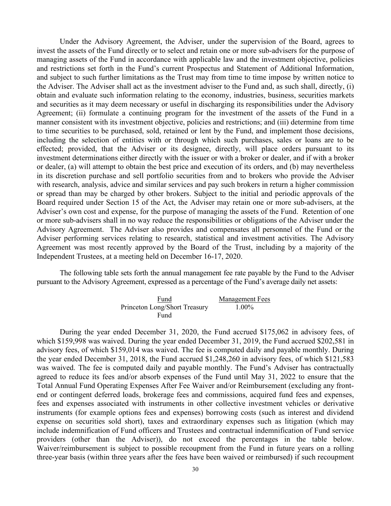Under the Advisory Agreement, the Adviser, under the supervision of the Board, agrees to invest the assets of the Fund directly or to select and retain one or more sub-advisers for the purpose of managing assets of the Fund in accordance with applicable law and the investment objective, policies and restrictions set forth in the Fund's current Prospectus and Statement of Additional Information, and subject to such further limitations as the Trust may from time to time impose by written notice to the Adviser. The Adviser shall act as the investment adviser to the Fund and, as such shall, directly, (i) obtain and evaluate such information relating to the economy, industries, business, securities markets and securities as it may deem necessary or useful in discharging its responsibilities under the Advisory Agreement; (ii) formulate a continuing program for the investment of the assets of the Fund in a manner consistent with its investment objective, policies and restrictions; and (iii) determine from time to time securities to be purchased, sold, retained or lent by the Fund, and implement those decisions, including the selection of entities with or through which such purchases, sales or loans are to be effected; provided, that the Adviser or its designee, directly, will place orders pursuant to its investment determinations either directly with the issuer or with a broker or dealer, and if with a broker or dealer, (a) will attempt to obtain the best price and execution of its orders, and (b) may nevertheless in its discretion purchase and sell portfolio securities from and to brokers who provide the Adviser with research, analysis, advice and similar services and pay such brokers in return a higher commission or spread than may be charged by other brokers. Subject to the initial and periodic approvals of the Board required under Section 15 of the Act, the Adviser may retain one or more sub-advisers, at the Adviser's own cost and expense, for the purpose of managing the assets of the Fund. Retention of one or more sub-advisers shall in no way reduce the responsibilities or obligations of the Adviser under the Advisory Agreement. The Adviser also provides and compensates all personnel of the Fund or the Adviser performing services relating to research, statistical and investment activities. The Advisory Agreement was most recently approved by the Board of the Trust, including by a majority of the Independent Trustees, at a meeting held on December 16-17, 2020.

The following table sets forth the annual management fee rate payable by the Fund to the Adviser pursuant to the Advisory Agreement, expressed as a percentage of the Fund's average daily net assets:

| Fund                          | <b>Management Fees</b> |
|-------------------------------|------------------------|
| Princeton Long/Short Treasury | $1.00\%$               |
| Fund                          |                        |

During the year ended December 31, 2020, the Fund accrued \$175,062 in advisory fees, of which \$159,998 was waived. During the year ended December 31, 2019, the Fund accrued \$202,581 in advisory fees, of which \$159,014 was waived. The fee is computed daily and payable monthly. During the year ended December 31, 2018, the Fund accrued \$1,248,260 in advisory fees, of which \$121,583 was waived. The fee is computed daily and payable monthly. The Fund's Adviser has contractually agreed to reduce its fees and/or absorb expenses of the Fund until May 31, 2022 to ensure that the Total Annual Fund Operating Expenses After Fee Waiver and/or Reimbursement (excluding any frontend or contingent deferred loads, brokerage fees and commissions, acquired fund fees and expenses, fees and expenses associated with instruments in other collective investment vehicles or derivative instruments (for example options fees and expenses) borrowing costs (such as interest and dividend expense on securities sold short), taxes and extraordinary expenses such as litigation (which may include indemnification of Fund officers and Trustees and contractual indemnification of Fund service providers (other than the Adviser)), do not exceed the percentages in the table below. Waiver/reimbursement is subject to possible recoupment from the Fund in future years on a rolling three-year basis (within three years after the fees have been waived or reimbursed) if such recoupment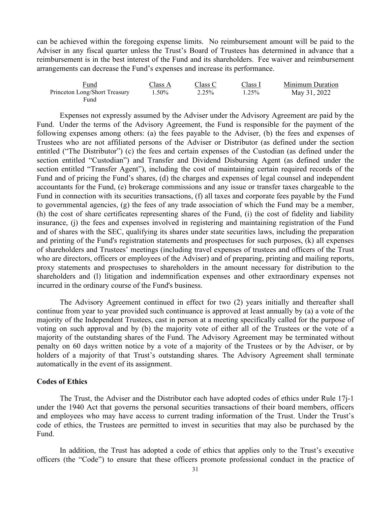can be achieved within the foregoing expense limits. No reimbursement amount will be paid to the Adviser in any fiscal quarter unless the Trust's Board of Trustees has determined in advance that a reimbursement is in the best interest of the Fund and its shareholders. Fee waiver and reimbursement arrangements can decrease the Fund's expenses and increase its performance.

| Fund                          | Class A | Class C | Class I | <b>Minimum Duration</b> |
|-------------------------------|---------|---------|---------|-------------------------|
| Princeton Long/Short Treasury | 1.50%   | 2.25%   | 1.25%   | May 31, 2022            |
| Fund                          |         |         |         |                         |

Expenses not expressly assumed by the Adviser under the Advisory Agreement are paid by the Fund. Under the terms of the Advisory Agreement, the Fund is responsible for the payment of the following expenses among others: (a) the fees payable to the Adviser, (b) the fees and expenses of Trustees who are not affiliated persons of the Adviser or Distributor (as defined under the section entitled ("The Distributor") (c) the fees and certain expenses of the Custodian (as defined under the section entitled "Custodian") and Transfer and Dividend Disbursing Agent (as defined under the section entitled "Transfer Agent"), including the cost of maintaining certain required records of the Fund and of pricing the Fund's shares, (d) the charges and expenses of legal counsel and independent accountants for the Fund, (e) brokerage commissions and any issue or transfer taxes chargeable to the Fund in connection with its securities transactions, (f) all taxes and corporate fees payable by the Fund to governmental agencies, (g) the fees of any trade association of which the Fund may be a member, (h) the cost of share certificates representing shares of the Fund, (i) the cost of fidelity and liability insurance, (j) the fees and expenses involved in registering and maintaining registration of the Fund and of shares with the SEC, qualifying its shares under state securities laws, including the preparation and printing of the Fund's registration statements and prospectuses for such purposes, (k) all expenses of shareholders and Trustees' meetings (including travel expenses of trustees and officers of the Trust who are directors, officers or employees of the Adviser) and of preparing, printing and mailing reports, proxy statements and prospectuses to shareholders in the amount necessary for distribution to the shareholders and (l) litigation and indemnification expenses and other extraordinary expenses not incurred in the ordinary course of the Fund's business.

The Advisory Agreement continued in effect for two (2) years initially and thereafter shall continue from year to year provided such continuance is approved at least annually by (a) a vote of the majority of the Independent Trustees, cast in person at a meeting specifically called for the purpose of voting on such approval and by (b) the majority vote of either all of the Trustees or the vote of a majority of the outstanding shares of the Fund. The Advisory Agreement may be terminated without penalty on 60 days written notice by a vote of a majority of the Trustees or by the Adviser, or by holders of a majority of that Trust's outstanding shares. The Advisory Agreement shall terminate automatically in the event of its assignment.

### **Codes of Ethics**

The Trust, the Adviser and the Distributor each have adopted codes of ethics under Rule 17j-1 under the 1940 Act that governs the personal securities transactions of their board members, officers and employees who may have access to current trading information of the Trust. Under the Trust's code of ethics, the Trustees are permitted to invest in securities that may also be purchased by the Fund.

In addition, the Trust has adopted a code of ethics that applies only to the Trust's executive officers (the "Code") to ensure that these officers promote professional conduct in the practice of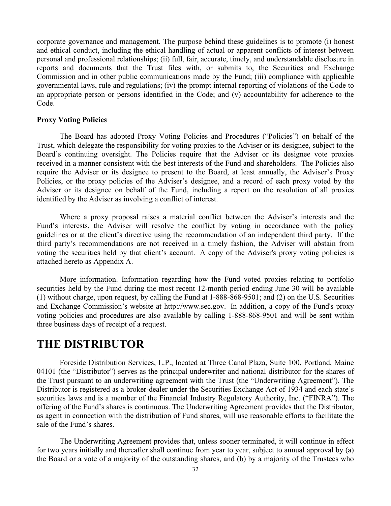corporate governance and management. The purpose behind these guidelines is to promote (i) honest and ethical conduct, including the ethical handling of actual or apparent conflicts of interest between personal and professional relationships; (ii) full, fair, accurate, timely, and understandable disclosure in reports and documents that the Trust files with, or submits to, the Securities and Exchange Commission and in other public communications made by the Fund; (iii) compliance with applicable governmental laws, rule and regulations; (iv) the prompt internal reporting of violations of the Code to an appropriate person or persons identified in the Code; and (v) accountability for adherence to the Code.

### **Proxy Voting Policies**

The Board has adopted Proxy Voting Policies and Procedures ("Policies") on behalf of the Trust, which delegate the responsibility for voting proxies to the Adviser or its designee, subject to the Board's continuing oversight. The Policies require that the Adviser or its designee vote proxies received in a manner consistent with the best interests of the Fund and shareholders. The Policies also require the Adviser or its designee to present to the Board, at least annually, the Adviser's Proxy Policies, or the proxy policies of the Adviser's designee, and a record of each proxy voted by the Adviser or its designee on behalf of the Fund, including a report on the resolution of all proxies identified by the Adviser as involving a conflict of interest.

Where a proxy proposal raises a material conflict between the Adviser's interests and the Fund's interests, the Adviser will resolve the conflict by voting in accordance with the policy guidelines or at the client's directive using the recommendation of an independent third party. If the third party's recommendations are not received in a timely fashion, the Adviser will abstain from voting the securities held by that client's account. A copy of the Adviser's proxy voting policies is attached hereto as Appendix A.

More information. Information regarding how the Fund voted proxies relating to portfolio securities held by the Fund during the most recent 12-month period ending June 30 will be available (1) without charge, upon request, by calling the Fund at 1-888-868-9501; and (2) on the U.S. Securities and Exchange Commission's website at http://www.sec.gov. In addition, a copy of the Fund's proxy voting policies and procedures are also available by calling 1-888-868-9501 and will be sent within three business days of receipt of a request.

# **THE DISTRIBUTOR**

Foreside Distribution Services, L.P., located at Three Canal Plaza, Suite 100, Portland, Maine 04101 (the "Distributor") serves as the principal underwriter and national distributor for the shares of the Trust pursuant to an underwriting agreement with the Trust (the "Underwriting Agreement"). The Distributor is registered as a broker-dealer under the Securities Exchange Act of 1934 and each state's securities laws and is a member of the Financial Industry Regulatory Authority, Inc. ("FINRA"). The offering of the Fund's shares is continuous. The Underwriting Agreement provides that the Distributor, as agent in connection with the distribution of Fund shares, will use reasonable efforts to facilitate the sale of the Fund's shares.

The Underwriting Agreement provides that, unless sooner terminated, it will continue in effect for two years initially and thereafter shall continue from year to year, subject to annual approval by (a) the Board or a vote of a majority of the outstanding shares, and (b) by a majority of the Trustees who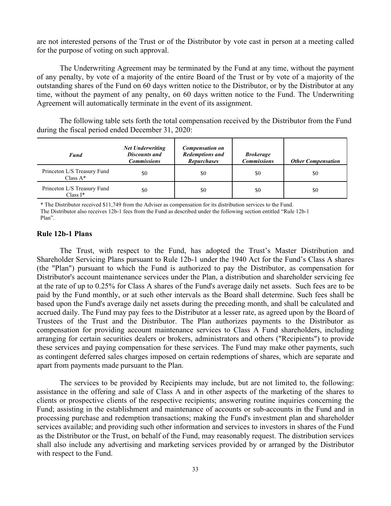are not interested persons of the Trust or of the Distributor by vote cast in person at a meeting called for the purpose of voting on such approval.

The Underwriting Agreement may be terminated by the Fund at any time, without the payment of any penalty, by vote of a majority of the entire Board of the Trust or by vote of a majority of the outstanding shares of the Fund on 60 days written notice to the Distributor, or by the Distributor at any time, without the payment of any penalty, on 60 days written notice to the Fund. The Underwriting Agreement will automatically terminate in the event of its assignment.

The following table sets forth the total compensation received by the Distributor from the Fund during the fiscal period ended December 31, 2020:

| <b>Fund</b>                                | <b>Net Underwriting</b><br><b>Discounts and</b><br><b>Commissions</b> | <b>Compensation on</b><br><b>Redemptions and</b><br><b>Repurchases</b> | <b>Brokerage</b><br><b>Commissions</b> | <b>Other Compensation</b> |
|--------------------------------------------|-----------------------------------------------------------------------|------------------------------------------------------------------------|----------------------------------------|---------------------------|
| Princeton L/S Treasury Fund<br>Class $A^*$ | \$0                                                                   | \$0                                                                    | \$0                                    | \$0                       |
| Princeton L/S Treasury Fund<br>Class $I^*$ | \$0                                                                   | \$0                                                                    | \$0                                    | \$0                       |

\* The Distributor received \$11,749 from the Adviser as compensation for its distribution services to the Fund.

The Distributor also receives 12b-1 fees from the Fund as described under the following section entitled "Rule 12b-1 Plan".

### **Rule 12b-1 Plans**

The Trust, with respect to the Fund, has adopted the Trust's Master Distribution and Shareholder Servicing Plans pursuant to Rule 12b-1 under the 1940 Act for the Fund's Class A shares (the "Plan") pursuant to which the Fund is authorized to pay the Distributor, as compensation for Distributor's account maintenance services under the Plan, a distribution and shareholder servicing fee at the rate of up to 0.25% for Class A shares of the Fund's average daily net assets. Such fees are to be paid by the Fund monthly, or at such other intervals as the Board shall determine. Such fees shall be based upon the Fund's average daily net assets during the preceding month, and shall be calculated and accrued daily. The Fund may pay fees to the Distributor at a lesser rate, as agreed upon by the Board of Trustees of the Trust and the Distributor. The Plan authorizes payments to the Distributor as compensation for providing account maintenance services to Class A Fund shareholders, including arranging for certain securities dealers or brokers, administrators and others ("Recipients") to provide these services and paying compensation for these services. The Fund may make other payments, such as contingent deferred sales charges imposed on certain redemptions of shares, which are separate and apart from payments made pursuant to the Plan.

The services to be provided by Recipients may include, but are not limited to, the following: assistance in the offering and sale of Class A and in other aspects of the marketing of the shares to clients or prospective clients of the respective recipients; answering routine inquiries concerning the Fund; assisting in the establishment and maintenance of accounts or sub-accounts in the Fund and in processing purchase and redemption transactions; making the Fund's investment plan and shareholder services available; and providing such other information and services to investors in shares of the Fund as the Distributor or the Trust, on behalf of the Fund, may reasonably request. The distribution services shall also include any advertising and marketing services provided by or arranged by the Distributor with respect to the Fund.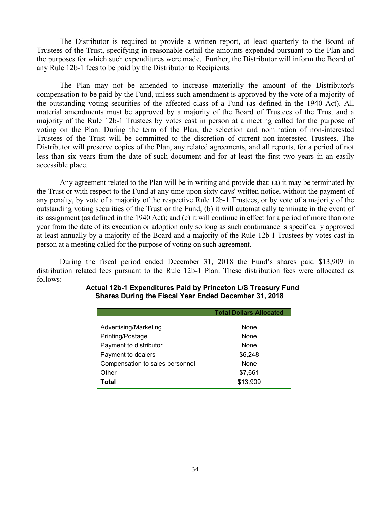The Distributor is required to provide a written report, at least quarterly to the Board of Trustees of the Trust, specifying in reasonable detail the amounts expended pursuant to the Plan and the purposes for which such expenditures were made. Further, the Distributor will inform the Board of any Rule 12b-1 fees to be paid by the Distributor to Recipients.

The Plan may not be amended to increase materially the amount of the Distributor's compensation to be paid by the Fund, unless such amendment is approved by the vote of a majority of the outstanding voting securities of the affected class of a Fund (as defined in the 1940 Act). All material amendments must be approved by a majority of the Board of Trustees of the Trust and a majority of the Rule 12b-1 Trustees by votes cast in person at a meeting called for the purpose of voting on the Plan. During the term of the Plan, the selection and nomination of non-interested Trustees of the Trust will be committed to the discretion of current non-interested Trustees. The Distributor will preserve copies of the Plan, any related agreements, and all reports, for a period of not less than six years from the date of such document and for at least the first two years in an easily accessible place.

Any agreement related to the Plan will be in writing and provide that: (a) it may be terminated by the Trust or with respect to the Fund at any time upon sixty days' written notice, without the payment of any penalty, by vote of a majority of the respective Rule 12b-1 Trustees, or by vote of a majority of the outstanding voting securities of the Trust or the Fund; (b) it will automatically terminate in the event of its assignment (as defined in the 1940 Act); and (c) it will continue in effect for a period of more than one year from the date of its execution or adoption only so long as such continuance is specifically approved at least annually by a majority of the Board and a majority of the Rule 12b-1 Trustees by votes cast in person at a meeting called for the purpose of voting on such agreement.

During the fiscal period ended December 31, 2018 the Fund's shares paid \$13,909 in distribution related fees pursuant to the Rule 12b-1 Plan. These distribution fees were allocated as follows:

|                                 | <b>Total Dollars Allocated</b> |
|---------------------------------|--------------------------------|
|                                 |                                |
| Advertising/Marketing           | None                           |
| Printing/Postage                | None                           |
| Payment to distributor          | None                           |
| Payment to dealers              | \$6,248                        |
| Compensation to sales personnel | None                           |
| Other                           | \$7,661                        |
| Total                           | \$13,909                       |

# **Actual 12b-1 Expenditures Paid by Princeton L/S Treasury Fund Shares During the Fiscal Year Ended December 31, 2018**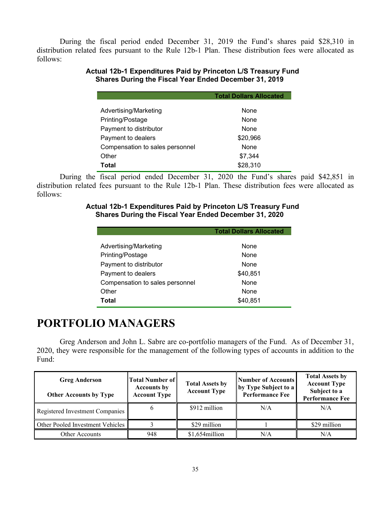During the fiscal period ended December 31, 2019 the Fund's shares paid \$28,310 in distribution related fees pursuant to the Rule 12b-1 Plan. These distribution fees were allocated as follows:

# **Actual 12b-1 Expenditures Paid by Princeton L/S Treasury Fund Shares During the Fiscal Year Ended December 31, 2019**

|                                 | <b>Total Dollars Allocated</b> |
|---------------------------------|--------------------------------|
|                                 |                                |
| Advertising/Marketing           | None                           |
| Printing/Postage                | None                           |
| Payment to distributor          | None                           |
| Payment to dealers              | \$20,966                       |
| Compensation to sales personnel | None                           |
| Other                           | \$7,344                        |
| Total                           | \$28,310                       |

During the fiscal period ended December 31, 2020 the Fund's shares paid \$42,851 in distribution related fees pursuant to the Rule 12b-1 Plan. These distribution fees were allocated as follows:

## **Actual 12b-1 Expenditures Paid by Princeton L/S Treasury Fund Shares During the Fiscal Year Ended December 31, 2020**

|                                 | <b>Total Dollars Allocated</b> |
|---------------------------------|--------------------------------|
|                                 |                                |
| Advertising/Marketing           | None                           |
| Printing/Postage                | None                           |
| Payment to distributor          | None                           |
| Payment to dealers              | \$40,851                       |
| Compensation to sales personnel | None                           |
| Other                           | None                           |
| Total                           | \$40.851                       |

# **PORTFOLIO MANAGERS**

Greg Anderson and John L. Sabre are co-portfolio managers of the Fund. As of December 31, 2020, they were responsible for the management of the following types of accounts in addition to the Fund:

| <b>Greg Anderson</b><br><b>Other Accounts by Type</b> | <b>Total Number of</b><br><b>Accounts by</b><br><b>Account Type</b> | <b>Total Assets by</b><br><b>Account Type</b> | Number of Accounts<br>by Type Subject to a<br><b>Performance Fee</b> | <b>Total Assets by</b><br><b>Account Type</b><br>Subject to a<br><b>Performance Fee</b> |
|-------------------------------------------------------|---------------------------------------------------------------------|-----------------------------------------------|----------------------------------------------------------------------|-----------------------------------------------------------------------------------------|
| Registered Investment Companies                       |                                                                     | \$912 million                                 | N/A                                                                  | N/A                                                                                     |
| <b>Other Pooled Investment Vehicles</b>               |                                                                     | \$29 million                                  |                                                                      | \$29 million                                                                            |
| Other Accounts                                        | 948                                                                 | \$1,654million                                | N/A                                                                  | N/A                                                                                     |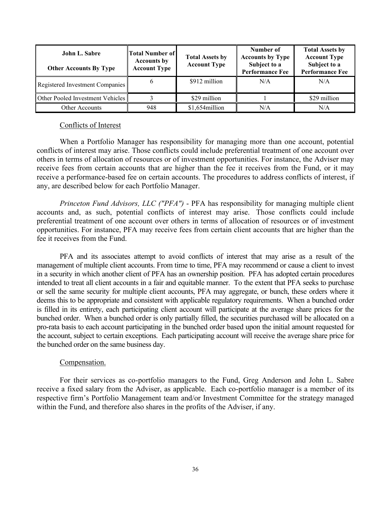| John L. Sabre<br><b>Other Accounts By Type</b> | <b>Total Number of</b><br><b>Accounts by</b><br><b>Account Type</b> | <b>Total Assets by</b><br><b>Account Type</b> | Number of<br><b>Accounts by Type</b><br>Subject to a<br><b>Performance Fee</b> | <b>Total Assets by</b><br><b>Account Type</b><br>Subject to a<br><b>Performance Fee</b> |
|------------------------------------------------|---------------------------------------------------------------------|-----------------------------------------------|--------------------------------------------------------------------------------|-----------------------------------------------------------------------------------------|
| Registered Investment Companies                |                                                                     | \$912 million                                 | N/A                                                                            | N/A                                                                                     |
| Other Pooled Investment Vehicles               |                                                                     | \$29 million                                  |                                                                                | \$29 million                                                                            |
| Other Accounts                                 | 948                                                                 | \$1,654million                                | N/A                                                                            | N/A                                                                                     |

## Conflicts of Interest

When a Portfolio Manager has responsibility for managing more than one account, potential conflicts of interest may arise. Those conflicts could include preferential treatment of one account over others in terms of allocation of resources or of investment opportunities. For instance, the Adviser may receive fees from certain accounts that are higher than the fee it receives from the Fund, or it may receive a performance-based fee on certain accounts. The procedures to address conflicts of interest, if any, are described below for each Portfolio Manager.

*Princeton Fund Advisors, LLC ("PFA")* - PFA has responsibility for managing multiple client accounts and, as such, potential conflicts of interest may arise. Those conflicts could include preferential treatment of one account over others in terms of allocation of resources or of investment opportunities. For instance, PFA may receive fees from certain client accounts that are higher than the fee it receives from the Fund.

PFA and its associates attempt to avoid conflicts of interest that may arise as a result of the management of multiple client accounts. From time to time, PFA may recommend or cause a client to invest in a security in which another client of PFA has an ownership position. PFA has adopted certain procedures intended to treat all client accounts in a fair and equitable manner. To the extent that PFA seeks to purchase or sell the same security for multiple client accounts, PFA may aggregate, or bunch, these orders where it deems this to be appropriate and consistent with applicable regulatory requirements. When a bunched order is filled in its entirety, each participating client account will participate at the average share prices for the bunched order. When a bunched order is only partially filled, the securities purchased will be allocated on a pro-rata basis to each account participating in the bunched order based upon the initial amount requested for the account, subject to certain exceptions. Each participating account will receive the average share price for the bunched order on the same business day.

## Compensation.

For their services as co-portfolio managers to the Fund, Greg Anderson and John L. Sabre receive a fixed salary from the Adviser, as applicable. Each co-portfolio manager is a member of its respective firm's Portfolio Management team and/or Investment Committee for the strategy managed within the Fund, and therefore also shares in the profits of the Adviser, if any.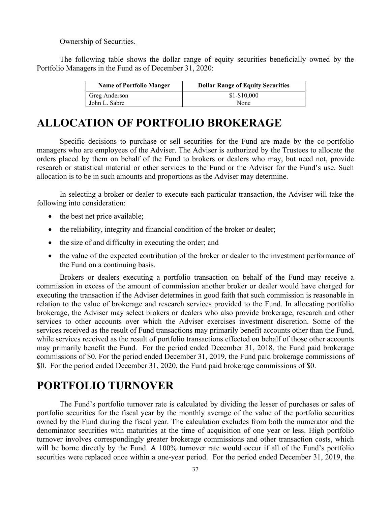### Ownership of Securities.

The following table shows the dollar range of equity securities beneficially owned by the Portfolio Managers in the Fund as of December 31, 2020:

| <b>Name of Portfolio Manger</b> | <b>Dollar Range of Equity Securities</b> |
|---------------------------------|------------------------------------------|
| Greg Anderson                   | $$1 - $10,000$                           |
| John L. Sabre                   | None                                     |

# **ALLOCATION OF PORTFOLIO BROKERAGE**

Specific decisions to purchase or sell securities for the Fund are made by the co-portfolio managers who are employees of the Adviser. The Adviser is authorized by the Trustees to allocate the orders placed by them on behalf of the Fund to brokers or dealers who may, but need not, provide research or statistical material or other services to the Fund or the Adviser for the Fund's use. Such allocation is to be in such amounts and proportions as the Adviser may determine.

In selecting a broker or dealer to execute each particular transaction, the Adviser will take the following into consideration:

- the best net price available;
- the reliability, integrity and financial condition of the broker or dealer;
- the size of and difficulty in executing the order; and
- the value of the expected contribution of the broker or dealer to the investment performance of the Fund on a continuing basis.

Brokers or dealers executing a portfolio transaction on behalf of the Fund may receive a commission in excess of the amount of commission another broker or dealer would have charged for executing the transaction if the Adviser determines in good faith that such commission is reasonable in relation to the value of brokerage and research services provided to the Fund. In allocating portfolio brokerage, the Adviser may select brokers or dealers who also provide brokerage, research and other services to other accounts over which the Adviser exercises investment discretion. Some of the services received as the result of Fund transactions may primarily benefit accounts other than the Fund, while services received as the result of portfolio transactions effected on behalf of those other accounts may primarily benefit the Fund. For the period ended December 31, 2018, the Fund paid brokerage commissions of \$0. For the period ended December 31, 2019, the Fund paid brokerage commissions of \$0. For the period ended December 31, 2020, the Fund paid brokerage commissions of \$0.

# **PORTFOLIO TURNOVER**

The Fund's portfolio turnover rate is calculated by dividing the lesser of purchases or sales of portfolio securities for the fiscal year by the monthly average of the value of the portfolio securities owned by the Fund during the fiscal year. The calculation excludes from both the numerator and the denominator securities with maturities at the time of acquisition of one year or less. High portfolio turnover involves correspondingly greater brokerage commissions and other transaction costs, which will be borne directly by the Fund. A 100% turnover rate would occur if all of the Fund's portfolio securities were replaced once within a one-year period. For the period ended December 31, 2019, the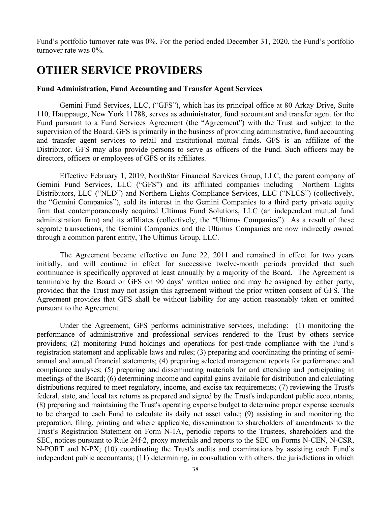Fund's portfolio turnover rate was 0%. For the period ended December 31, 2020, the Fund's portfolio turnover rate was 0%.

# **OTHER SERVICE PROVIDERS**

# **Fund Administration, Fund Accounting and Transfer Agent Services**

Gemini Fund Services, LLC, ("GFS"), which has its principal office at 80 Arkay Drive, Suite 110, Hauppauge, New York 11788, serves as administrator, fund accountant and transfer agent for the Fund pursuant to a Fund Services Agreement (the "Agreement") with the Trust and subject to the supervision of the Board. GFS is primarily in the business of providing administrative, fund accounting and transfer agent services to retail and institutional mutual funds. GFS is an affiliate of the Distributor. GFS may also provide persons to serve as officers of the Fund. Such officers may be directors, officers or employees of GFS or its affiliates.

Effective February 1, 2019, NorthStar Financial Services Group, LLC, the parent company of Gemini Fund Services, LLC ("GFS") and its affiliated companies including Northern Lights Distributors, LLC ("NLD") and Northern Lights Compliance Services, LLC ("NLCS") (collectively, the "Gemini Companies"), sold its interest in the Gemini Companies to a third party private equity firm that contemporaneously acquired Ultimus Fund Solutions, LLC (an independent mutual fund administration firm) and its affiliates (collectively, the "Ultimus Companies"). As a result of these separate transactions, the Gemini Companies and the Ultimus Companies are now indirectly owned through a common parent entity, The Ultimus Group, LLC.

The Agreement became effective on June 22, 2011 and remained in effect for two years initially, and will continue in effect for successive twelve-month periods provided that such continuance is specifically approved at least annually by a majority of the Board. The Agreement is terminable by the Board or GFS on 90 days' written notice and may be assigned by either party, provided that the Trust may not assign this agreement without the prior written consent of GFS. The Agreement provides that GFS shall be without liability for any action reasonably taken or omitted pursuant to the Agreement.

Under the Agreement, GFS performs administrative services, including: (1) monitoring the performance of administrative and professional services rendered to the Trust by others service providers; (2) monitoring Fund holdings and operations for post-trade compliance with the Fund's registration statement and applicable laws and rules; (3) preparing and coordinating the printing of semiannual and annual financial statements; (4) preparing selected management reports for performance and compliance analyses; (5) preparing and disseminating materials for and attending and participating in meetings of the Board; (6) determining income and capital gains available for distribution and calculating distributions required to meet regulatory, income, and excise tax requirements; (7) reviewing the Trust's federal, state, and local tax returns as prepared and signed by the Trust's independent public accountants; (8) preparing and maintaining the Trust's operating expense budget to determine proper expense accruals to be charged to each Fund to calculate its daily net asset value; (9) assisting in and monitoring the preparation, filing, printing and where applicable, dissemination to shareholders of amendments to the Trust's Registration Statement on Form N-1A, periodic reports to the Trustees, shareholders and the SEC, notices pursuant to Rule 24f-2, proxy materials and reports to the SEC on Forms N-CEN, N-CSR, N-PORT and N-PX; (10) coordinating the Trust's audits and examinations by assisting each Fund's independent public accountants; (11) determining, in consultation with others, the jurisdictions in which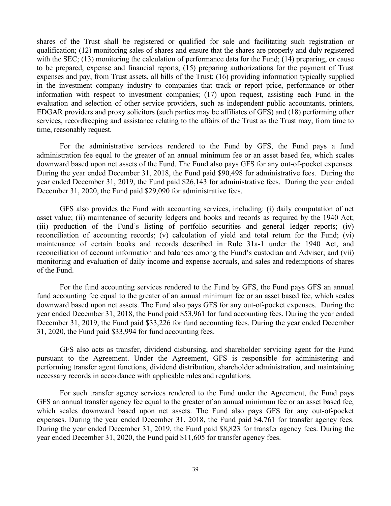shares of the Trust shall be registered or qualified for sale and facilitating such registration or qualification; (12) monitoring sales of shares and ensure that the shares are properly and duly registered with the SEC; (13) monitoring the calculation of performance data for the Fund; (14) preparing, or cause to be prepared, expense and financial reports; (15) preparing authorizations for the payment of Trust expenses and pay, from Trust assets, all bills of the Trust; (16) providing information typically supplied in the investment company industry to companies that track or report price, performance or other information with respect to investment companies; (17) upon request, assisting each Fund in the evaluation and selection of other service providers, such as independent public accountants, printers, EDGAR providers and proxy solicitors (such parties may be affiliates of GFS) and (18) performing other services, recordkeeping and assistance relating to the affairs of the Trust as the Trust may, from time to time, reasonably request.

For the administrative services rendered to the Fund by GFS, the Fund pays a fund administration fee equal to the greater of an annual minimum fee or an asset based fee, which scales downward based upon net assets of the Fund. The Fund also pays GFS for any out-of-pocket expenses. During the year ended December 31, 2018, the Fund paid \$90,498 for administrative fees. During the year ended December 31, 2019, the Fund paid \$26,143 for administrative fees. During the year ended December 31, 2020, the Fund paid \$29,090 for administrative fees.

GFS also provides the Fund with accounting services, including: (i) daily computation of net asset value; (ii) maintenance of security ledgers and books and records as required by the 1940 Act; (iii) production of the Fund's listing of portfolio securities and general ledger reports; (iv) reconciliation of accounting records; (v) calculation of yield and total return for the Fund; (vi) maintenance of certain books and records described in Rule 31a-1 under the 1940 Act, and reconciliation of account information and balances among the Fund's custodian and Adviser; and (vii) monitoring and evaluation of daily income and expense accruals, and sales and redemptions of shares of the Fund.

For the fund accounting services rendered to the Fund by GFS, the Fund pays GFS an annual fund accounting fee equal to the greater of an annual minimum fee or an asset based fee, which scales downward based upon net assets. The Fund also pays GFS for any out-of-pocket expenses. During the year ended December 31, 2018, the Fund paid \$53,961 for fund accounting fees. During the year ended December 31, 2019, the Fund paid \$33,226 for fund accounting fees. During the year ended December 31, 2020, the Fund paid \$33,994 for fund accounting fees.

GFS also acts as transfer, dividend disbursing, and shareholder servicing agent for the Fund pursuant to the Agreement. Under the Agreement, GFS is responsible for administering and performing transfer agent functions, dividend distribution, shareholder administration, and maintaining necessary records in accordance with applicable rules and regulations.

For such transfer agency services rendered to the Fund under the Agreement, the Fund pays GFS an annual transfer agency fee equal to the greater of an annual minimum fee or an asset based fee, which scales downward based upon net assets. The Fund also pays GFS for any out-of-pocket expenses. During the year ended December 31, 2018, the Fund paid \$4,761 for transfer agency fees. During the year ended December 31, 2019, the Fund paid \$8,823 for transfer agency fees. During the year ended December 31, 2020, the Fund paid \$11,605 for transfer agency fees.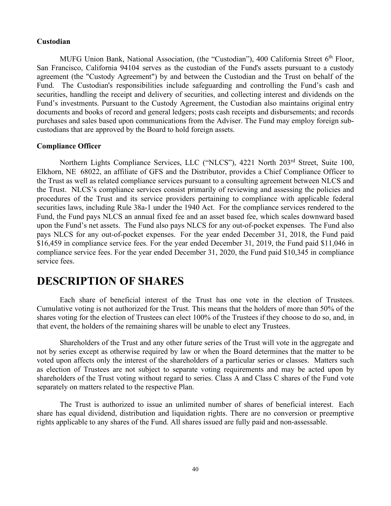### **Custodian**

MUFG Union Bank, National Association, (the "Custodian"), 400 California Street 6<sup>th</sup> Floor, San Francisco, California 94104 serves as the custodian of the Fund's assets pursuant to a custody agreement (the "Custody Agreement") by and between the Custodian and the Trust on behalf of the Fund. The Custodian's responsibilities include safeguarding and controlling the Fund's cash and securities, handling the receipt and delivery of securities, and collecting interest and dividends on the Fund's investments. Pursuant to the Custody Agreement, the Custodian also maintains original entry documents and books of record and general ledgers; posts cash receipts and disbursements; and records purchases and sales based upon communications from the Adviser. The Fund may employ foreign subcustodians that are approved by the Board to hold foreign assets.

## **Compliance Officer**

Northern Lights Compliance Services, LLC ("NLCS"), 4221 North 203<sup>rd</sup> Street, Suite 100, Elkhorn, NE 68022, an affiliate of GFS and the Distributor, provides a Chief Compliance Officer to the Trust as well as related compliance services pursuant to a consulting agreement between NLCS and the Trust. NLCS's compliance services consist primarily of reviewing and assessing the policies and procedures of the Trust and its service providers pertaining to compliance with applicable federal securities laws, including Rule 38a-1 under the 1940 Act. For the compliance services rendered to the Fund, the Fund pays NLCS an annual fixed fee and an asset based fee, which scales downward based upon the Fund's net assets. The Fund also pays NLCS for any out-of-pocket expenses. The Fund also pays NLCS for any out-of-pocket expenses. For the year ended December 31, 2018, the Fund paid \$16,459 in compliance service fees. For the year ended December 31, 2019, the Fund paid \$11,046 in compliance service fees. For the year ended December 31, 2020, the Fund paid \$10,345 in compliance service fees.

# **DESCRIPTION OF SHARES**

Each share of beneficial interest of the Trust has one vote in the election of Trustees. Cumulative voting is not authorized for the Trust. This means that the holders of more than 50% of the shares voting for the election of Trustees can elect 100% of the Trustees if they choose to do so, and, in that event, the holders of the remaining shares will be unable to elect any Trustees.

Shareholders of the Trust and any other future series of the Trust will vote in the aggregate and not by series except as otherwise required by law or when the Board determines that the matter to be voted upon affects only the interest of the shareholders of a particular series or classes. Matters such as election of Trustees are not subject to separate voting requirements and may be acted upon by shareholders of the Trust voting without regard to series. Class A and Class C shares of the Fund vote separately on matters related to the respective Plan.

The Trust is authorized to issue an unlimited number of shares of beneficial interest. Each share has equal dividend, distribution and liquidation rights. There are no conversion or preemptive rights applicable to any shares of the Fund. All shares issued are fully paid and non-assessable.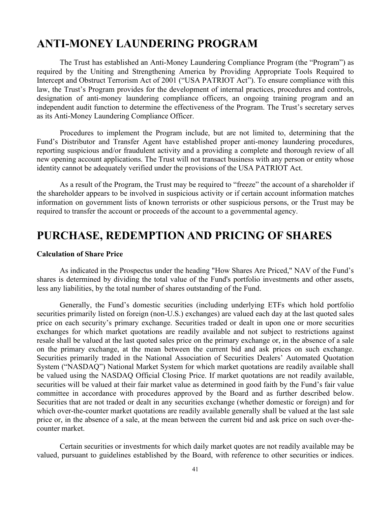# **ANTI-MONEY LAUNDERING PROGRAM**

The Trust has established an Anti-Money Laundering Compliance Program (the "Program") as required by the Uniting and Strengthening America by Providing Appropriate Tools Required to Intercept and Obstruct Terrorism Act of 2001 ("USA PATRIOT Act"). To ensure compliance with this law, the Trust's Program provides for the development of internal practices, procedures and controls, designation of anti-money laundering compliance officers, an ongoing training program and an independent audit function to determine the effectiveness of the Program. The Trust's secretary serves as its Anti-Money Laundering Compliance Officer.

Procedures to implement the Program include, but are not limited to, determining that the Fund's Distributor and Transfer Agent have established proper anti-money laundering procedures, reporting suspicious and/or fraudulent activity and a providing a complete and thorough review of all new opening account applications. The Trust will not transact business with any person or entity whose identity cannot be adequately verified under the provisions of the USA PATRIOT Act.

As a result of the Program, the Trust may be required to "freeze" the account of a shareholder if the shareholder appears to be involved in suspicious activity or if certain account information matches information on government lists of known terrorists or other suspicious persons, or the Trust may be required to transfer the account or proceeds of the account to a governmental agency.

# **PURCHASE, REDEMPTION AND PRICING OF SHARES**

## **Calculation of Share Price**

As indicated in the Prospectus under the heading "How Shares Are Priced," NAV of the Fund's shares is determined by dividing the total value of the Fund's portfolio investments and other assets, less any liabilities, by the total number of shares outstanding of the Fund.

Generally, the Fund's domestic securities (including underlying ETFs which hold portfolio securities primarily listed on foreign (non-U.S.) exchanges) are valued each day at the last quoted sales price on each security's primary exchange. Securities traded or dealt in upon one or more securities exchanges for which market quotations are readily available and not subject to restrictions against resale shall be valued at the last quoted sales price on the primary exchange or, in the absence of a sale on the primary exchange, at the mean between the current bid and ask prices on such exchange. Securities primarily traded in the National Association of Securities Dealers' Automated Quotation System ("NASDAQ") National Market System for which market quotations are readily available shall be valued using the NASDAQ Official Closing Price. If market quotations are not readily available, securities will be valued at their fair market value as determined in good faith by the Fund's fair value committee in accordance with procedures approved by the Board and as further described below. Securities that are not traded or dealt in any securities exchange (whether domestic or foreign) and for which over-the-counter market quotations are readily available generally shall be valued at the last sale price or, in the absence of a sale, at the mean between the current bid and ask price on such over-thecounter market.

Certain securities or investments for which daily market quotes are not readily available may be valued, pursuant to guidelines established by the Board, with reference to other securities or indices.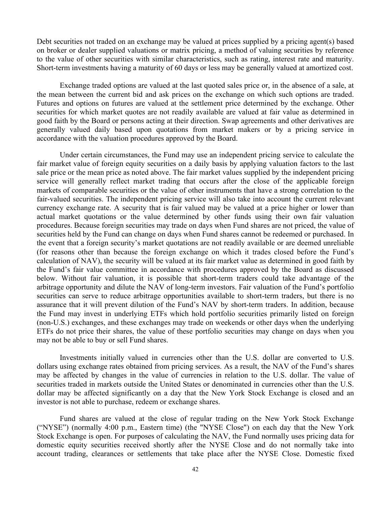Debt securities not traded on an exchange may be valued at prices supplied by a pricing agent(s) based on broker or dealer supplied valuations or matrix pricing, a method of valuing securities by reference to the value of other securities with similar characteristics, such as rating, interest rate and maturity. Short-term investments having a maturity of 60 days or less may be generally valued at amortized cost.

Exchange traded options are valued at the last quoted sales price or, in the absence of a sale, at the mean between the current bid and ask prices on the exchange on which such options are traded. Futures and options on futures are valued at the settlement price determined by the exchange. Other securities for which market quotes are not readily available are valued at fair value as determined in good faith by the Board or persons acting at their direction. Swap agreements and other derivatives are generally valued daily based upon quotations from market makers or by a pricing service in accordance with the valuation procedures approved by the Board.

Under certain circumstances, the Fund may use an independent pricing service to calculate the fair market value of foreign equity securities on a daily basis by applying valuation factors to the last sale price or the mean price as noted above. The fair market values supplied by the independent pricing service will generally reflect market trading that occurs after the close of the applicable foreign markets of comparable securities or the value of other instruments that have a strong correlation to the fair-valued securities. The independent pricing service will also take into account the current relevant currency exchange rate. A security that is fair valued may be valued at a price higher or lower than actual market quotations or the value determined by other funds using their own fair valuation procedures. Because foreign securities may trade on days when Fund shares are not priced, the value of securities held by the Fund can change on days when Fund shares cannot be redeemed or purchased. In the event that a foreign security's market quotations are not readily available or are deemed unreliable (for reasons other than because the foreign exchange on which it trades closed before the Fund's calculation of NAV), the security will be valued at its fair market value as determined in good faith by the Fund's fair value committee in accordance with procedures approved by the Board as discussed below. Without fair valuation, it is possible that short-term traders could take advantage of the arbitrage opportunity and dilute the NAV of long-term investors. Fair valuation of the Fund's portfolio securities can serve to reduce arbitrage opportunities available to short-term traders, but there is no assurance that it will prevent dilution of the Fund's NAV by short-term traders. In addition, because the Fund may invest in underlying ETFs which hold portfolio securities primarily listed on foreign (non-U.S.) exchanges, and these exchanges may trade on weekends or other days when the underlying ETFs do not price their shares, the value of these portfolio securities may change on days when you may not be able to buy or sell Fund shares.

Investments initially valued in currencies other than the U.S. dollar are converted to U.S. dollars using exchange rates obtained from pricing services. As a result, the NAV of the Fund's shares may be affected by changes in the value of currencies in relation to the U.S. dollar. The value of securities traded in markets outside the United States or denominated in currencies other than the U.S. dollar may be affected significantly on a day that the New York Stock Exchange is closed and an investor is not able to purchase, redeem or exchange shares.

Fund shares are valued at the close of regular trading on the New York Stock Exchange ("NYSE") (normally 4:00 p.m., Eastern time) (the "NYSE Close") on each day that the New York Stock Exchange is open. For purposes of calculating the NAV, the Fund normally uses pricing data for domestic equity securities received shortly after the NYSE Close and do not normally take into account trading, clearances or settlements that take place after the NYSE Close. Domestic fixed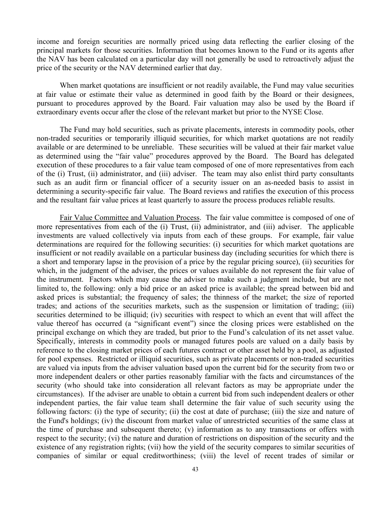income and foreign securities are normally priced using data reflecting the earlier closing of the principal markets for those securities. Information that becomes known to the Fund or its agents after the NAV has been calculated on a particular day will not generally be used to retroactively adjust the price of the security or the NAV determined earlier that day.

When market quotations are insufficient or not readily available, the Fund may value securities at fair value or estimate their value as determined in good faith by the Board or their designees, pursuant to procedures approved by the Board. Fair valuation may also be used by the Board if extraordinary events occur after the close of the relevant market but prior to the NYSE Close.

The Fund may hold securities, such as private placements, interests in commodity pools, other non-traded securities or temporarily illiquid securities, for which market quotations are not readily available or are determined to be unreliable. These securities will be valued at their fair market value as determined using the "fair value" procedures approved by the Board. The Board has delegated execution of these procedures to a fair value team composed of one of more representatives from each of the (i) Trust, (ii) administrator, and (iii) adviser. The team may also enlist third party consultants such as an audit firm or financial officer of a security issuer on an as-needed basis to assist in determining a security-specific fair value. The Board reviews and ratifies the execution of this process and the resultant fair value prices at least quarterly to assure the process produces reliable results.

Fair Value Committee and Valuation Process. The fair value committee is composed of one of more representatives from each of the (i) Trust, (ii) administrator, and (iii) adviser. The applicable investments are valued collectively via inputs from each of these groups. For example, fair value determinations are required for the following securities: (i) securities for which market quotations are insufficient or not readily available on a particular business day (including securities for which there is a short and temporary lapse in the provision of a price by the regular pricing source), (ii) securities for which, in the judgment of the adviser, the prices or values available do not represent the fair value of the instrument. Factors which may cause the adviser to make such a judgment include, but are not limited to, the following: only a bid price or an asked price is available; the spread between bid and asked prices is substantial; the frequency of sales; the thinness of the market; the size of reported trades; and actions of the securities markets, such as the suspension or limitation of trading; (iii) securities determined to be illiquid; (iv) securities with respect to which an event that will affect the value thereof has occurred (a "significant event") since the closing prices were established on the principal exchange on which they are traded, but prior to the Fund's calculation of its net asset value. Specifically, interests in commodity pools or managed futures pools are valued on a daily basis by reference to the closing market prices of each futures contract or other asset held by a pool, as adjusted for pool expenses. Restricted or illiquid securities, such as private placements or non-traded securities are valued via inputs from the adviser valuation based upon the current bid for the security from two or more independent dealers or other parties reasonably familiar with the facts and circumstances of the security (who should take into consideration all relevant factors as may be appropriate under the circumstances). If the adviser are unable to obtain a current bid from such independent dealers or other independent parties, the fair value team shall determine the fair value of such security using the following factors: (i) the type of security; (ii) the cost at date of purchase; (iii) the size and nature of the Fund's holdings; (iv) the discount from market value of unrestricted securities of the same class at the time of purchase and subsequent thereto; (v) information as to any transactions or offers with respect to the security; (vi) the nature and duration of restrictions on disposition of the security and the existence of any registration rights; (vii) how the yield of the security compares to similar securities of companies of similar or equal creditworthiness; (viii) the level of recent trades of similar or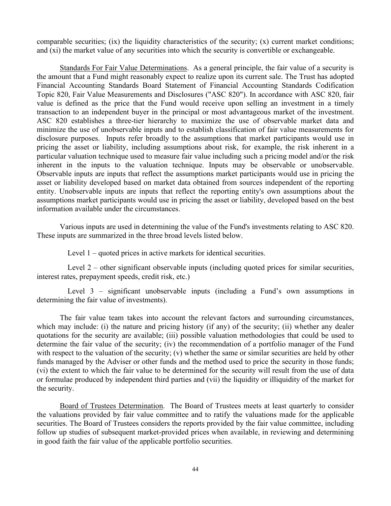comparable securities;  $(ix)$  the liquidity characteristics of the security;  $(x)$  current market conditions; and (xi) the market value of any securities into which the security is convertible or exchangeable.

Standards For Fair Value Determinations. As a general principle, the fair value of a security is the amount that a Fund might reasonably expect to realize upon its current sale. The Trust has adopted Financial Accounting Standards Board Statement of Financial Accounting Standards Codification Topic 820, Fair Value Measurements and Disclosures ("ASC 820"). In accordance with ASC 820, fair value is defined as the price that the Fund would receive upon selling an investment in a timely transaction to an independent buyer in the principal or most advantageous market of the investment. ASC 820 establishes a three-tier hierarchy to maximize the use of observable market data and minimize the use of unobservable inputs and to establish classification of fair value measurements for disclosure purposes. Inputs refer broadly to the assumptions that market participants would use in pricing the asset or liability, including assumptions about risk, for example, the risk inherent in a particular valuation technique used to measure fair value including such a pricing model and/or the risk inherent in the inputs to the valuation technique. Inputs may be observable or unobservable. Observable inputs are inputs that reflect the assumptions market participants would use in pricing the asset or liability developed based on market data obtained from sources independent of the reporting entity. Unobservable inputs are inputs that reflect the reporting entity's own assumptions about the assumptions market participants would use in pricing the asset or liability, developed based on the best information available under the circumstances.

Various inputs are used in determining the value of the Fund's investments relating to ASC 820. These inputs are summarized in the three broad levels listed below.

Level 1 – quoted prices in active markets for identical securities.

Level 2 – other significant observable inputs (including quoted prices for similar securities, interest rates, prepayment speeds, credit risk, etc.)

Level 3 – significant unobservable inputs (including a Fund's own assumptions in determining the fair value of investments).

The fair value team takes into account the relevant factors and surrounding circumstances, which may include: (i) the nature and pricing history (if any) of the security; (ii) whether any dealer quotations for the security are available; (iii) possible valuation methodologies that could be used to determine the fair value of the security; (iv) the recommendation of a portfolio manager of the Fund with respect to the valuation of the security;  $(v)$  whether the same or similar securities are held by other funds managed by the Adviser or other funds and the method used to price the security in those funds; (vi) the extent to which the fair value to be determined for the security will result from the use of data or formulae produced by independent third parties and (vii) the liquidity or illiquidity of the market for the security.

Board of Trustees Determination. The Board of Trustees meets at least quarterly to consider the valuations provided by fair value committee and to ratify the valuations made for the applicable securities. The Board of Trustees considers the reports provided by the fair value committee, including follow up studies of subsequent market-provided prices when available, in reviewing and determining in good faith the fair value of the applicable portfolio securities.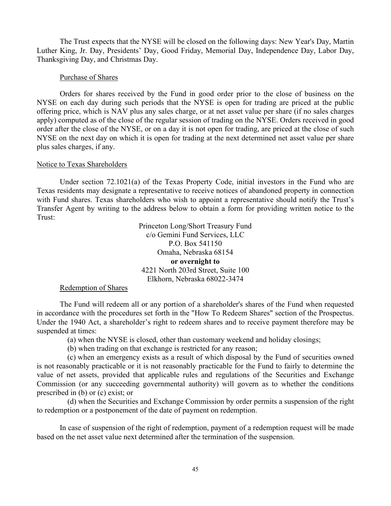The Trust expects that the NYSE will be closed on the following days: New Year's Day, Martin Luther King, Jr. Day, Presidents' Day, Good Friday, Memorial Day, Independence Day, Labor Day, Thanksgiving Day, and Christmas Day.

## Purchase of Shares

Orders for shares received by the Fund in good order prior to the close of business on the NYSE on each day during such periods that the NYSE is open for trading are priced at the public offering price, which is NAV plus any sales charge, or at net asset value per share (if no sales charges apply) computed as of the close of the regular session of trading on the NYSE. Orders received in good order after the close of the NYSE, or on a day it is not open for trading, are priced at the close of such NYSE on the next day on which it is open for trading at the next determined net asset value per share plus sales charges, if any.

# Notice to Texas Shareholders

Under section 72.1021(a) of the Texas Property Code, initial investors in the Fund who are Texas residents may designate a representative to receive notices of abandoned property in connection with Fund shares. Texas shareholders who wish to appoint a representative should notify the Trust's Transfer Agent by writing to the address below to obtain a form for providing written notice to the Trust:

> Princeton Long/Short Treasury Fund c/o Gemini Fund Services, LLC P.O. Box 541150 Omaha, Nebraska 68154 **or overnight to** 4221 North 203rd Street, Suite 100 Elkhorn, Nebraska 68022-3474

# Redemption of Shares

The Fund will redeem all or any portion of a shareholder's shares of the Fund when requested in accordance with the procedures set forth in the "How To Redeem Shares" section of the Prospectus. Under the 1940 Act, a shareholder's right to redeem shares and to receive payment therefore may be suspended at times:

(a) when the NYSE is closed, other than customary weekend and holiday closings;

(b) when trading on that exchange is restricted for any reason;

(c) when an emergency exists as a result of which disposal by the Fund of securities owned is not reasonably practicable or it is not reasonably practicable for the Fund to fairly to determine the value of net assets, provided that applicable rules and regulations of the Securities and Exchange Commission (or any succeeding governmental authority) will govern as to whether the conditions prescribed in (b) or (c) exist; or

(d) when the Securities and Exchange Commission by order permits a suspension of the right to redemption or a postponement of the date of payment on redemption.

In case of suspension of the right of redemption, payment of a redemption request will be made based on the net asset value next determined after the termination of the suspension.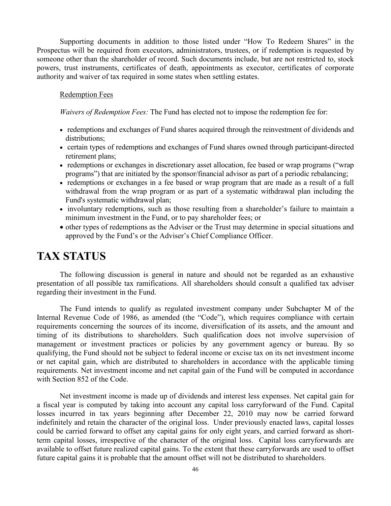Supporting documents in addition to those listed under "How To Redeem Shares" in the Prospectus will be required from executors, administrators, trustees, or if redemption is requested by someone other than the shareholder of record. Such documents include, but are not restricted to, stock powers, trust instruments, certificates of death, appointments as executor, certificates of corporate authority and waiver of tax required in some states when settling estates.

## Redemption Fees

*Waivers of Redemption Fees:* The Fund has elected not to impose the redemption fee for:

- redemptions and exchanges of Fund shares acquired through the reinvestment of dividends and distributions:
- certain types of redemptions and exchanges of Fund shares owned through participant-directed retirement plans;
- redemptions or exchanges in discretionary asset allocation, fee based or wrap programs ("wrap") programs") that are initiated by the sponsor/financial advisor as part of a periodic rebalancing;
- redemptions or exchanges in a fee based or wrap program that are made as a result of a full withdrawal from the wrap program or as part of a systematic withdrawal plan including the Fund's systematic withdrawal plan;
- involuntary redemptions, such as those resulting from a shareholder's failure to maintain a minimum investment in the Fund, or to pay shareholder fees; or
- other types of redemptions as the Adviser or the Trust may determine in special situations and approved by the Fund's or the Adviser's Chief Compliance Officer.

# **TAX STATUS**

The following discussion is general in nature and should not be regarded as an exhaustive presentation of all possible tax ramifications. All shareholders should consult a qualified tax adviser regarding their investment in the Fund.

The Fund intends to qualify as regulated investment company under Subchapter M of the Internal Revenue Code of 1986, as amended (the "Code"), which requires compliance with certain requirements concerning the sources of its income, diversification of its assets, and the amount and timing of its distributions to shareholders. Such qualification does not involve supervision of management or investment practices or policies by any government agency or bureau. By so qualifying, the Fund should not be subject to federal income or excise tax on its net investment income or net capital gain, which are distributed to shareholders in accordance with the applicable timing requirements. Net investment income and net capital gain of the Fund will be computed in accordance with Section 852 of the Code.

Net investment income is made up of dividends and interest less expenses. Net capital gain for a fiscal year is computed by taking into account any capital loss carryforward of the Fund. Capital losses incurred in tax years beginning after December 22, 2010 may now be carried forward indefinitely and retain the character of the original loss. Under previously enacted laws, capital losses could be carried forward to offset any capital gains for only eight years, and carried forward as shortterm capital losses, irrespective of the character of the original loss. Capital loss carryforwards are available to offset future realized capital gains. To the extent that these carryforwards are used to offset future capital gains it is probable that the amount offset will not be distributed to shareholders.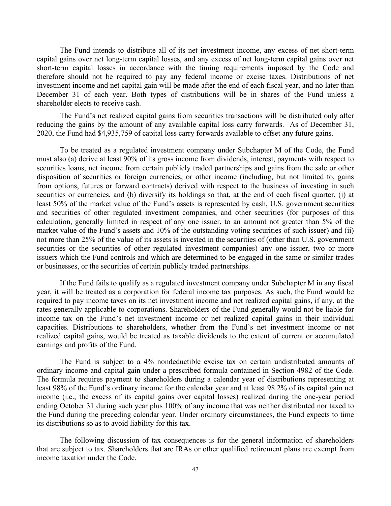The Fund intends to distribute all of its net investment income, any excess of net short-term capital gains over net long-term capital losses, and any excess of net long-term capital gains over net short-term capital losses in accordance with the timing requirements imposed by the Code and therefore should not be required to pay any federal income or excise taxes. Distributions of net investment income and net capital gain will be made after the end of each fiscal year, and no later than December 31 of each year. Both types of distributions will be in shares of the Fund unless a shareholder elects to receive cash.

The Fund's net realized capital gains from securities transactions will be distributed only after reducing the gains by the amount of any available capital loss carry forwards. As of December 31, 2020, the Fund had \$4,935,759 of capital loss carry forwards available to offset any future gains.

To be treated as a regulated investment company under Subchapter M of the Code, the Fund must also (a) derive at least 90% of its gross income from dividends, interest, payments with respect to securities loans, net income from certain publicly traded partnerships and gains from the sale or other disposition of securities or foreign currencies, or other income (including, but not limited to, gains from options, futures or forward contracts) derived with respect to the business of investing in such securities or currencies, and (b) diversify its holdings so that, at the end of each fiscal quarter, (i) at least 50% of the market value of the Fund's assets is represented by cash, U.S. government securities and securities of other regulated investment companies, and other securities (for purposes of this calculation, generally limited in respect of any one issuer, to an amount not greater than 5% of the market value of the Fund's assets and 10% of the outstanding voting securities of such issuer) and (ii) not more than 25% of the value of its assets is invested in the securities of (other than U.S. government securities or the securities of other regulated investment companies) any one issuer, two or more issuers which the Fund controls and which are determined to be engaged in the same or similar trades or businesses, or the securities of certain publicly traded partnerships.

If the Fund fails to qualify as a regulated investment company under Subchapter M in any fiscal year, it will be treated as a corporation for federal income tax purposes. As such, the Fund would be required to pay income taxes on its net investment income and net realized capital gains, if any, at the rates generally applicable to corporations. Shareholders of the Fund generally would not be liable for income tax on the Fund's net investment income or net realized capital gains in their individual capacities. Distributions to shareholders, whether from the Fund's net investment income or net realized capital gains, would be treated as taxable dividends to the extent of current or accumulated earnings and profits of the Fund.

The Fund is subject to a 4% nondeductible excise tax on certain undistributed amounts of ordinary income and capital gain under a prescribed formula contained in Section 4982 of the Code. The formula requires payment to shareholders during a calendar year of distributions representing at least 98% of the Fund's ordinary income for the calendar year and at least 98.2% of its capital gain net income (i.e., the excess of its capital gains over capital losses) realized during the one-year period ending October 31 during such year plus 100% of any income that was neither distributed nor taxed to the Fund during the preceding calendar year. Under ordinary circumstances, the Fund expects to time its distributions so as to avoid liability for this tax.

The following discussion of tax consequences is for the general information of shareholders that are subject to tax. Shareholders that are IRAs or other qualified retirement plans are exempt from income taxation under the Code.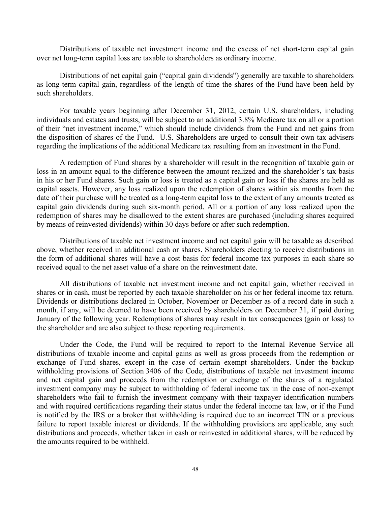Distributions of taxable net investment income and the excess of net short-term capital gain over net long-term capital loss are taxable to shareholders as ordinary income.

Distributions of net capital gain ("capital gain dividends") generally are taxable to shareholders as long-term capital gain, regardless of the length of time the shares of the Fund have been held by such shareholders.

For taxable years beginning after December 31, 2012, certain U.S. shareholders, including individuals and estates and trusts, will be subject to an additional 3.8% Medicare tax on all or a portion of their "net investment income," which should include dividends from the Fund and net gains from the disposition of shares of the Fund. U.S. Shareholders are urged to consult their own tax advisers regarding the implications of the additional Medicare tax resulting from an investment in the Fund.

A redemption of Fund shares by a shareholder will result in the recognition of taxable gain or loss in an amount equal to the difference between the amount realized and the shareholder's tax basis in his or her Fund shares. Such gain or loss is treated as a capital gain or loss if the shares are held as capital assets. However, any loss realized upon the redemption of shares within six months from the date of their purchase will be treated as a long-term capital loss to the extent of any amounts treated as capital gain dividends during such six-month period. All or a portion of any loss realized upon the redemption of shares may be disallowed to the extent shares are purchased (including shares acquired by means of reinvested dividends) within 30 days before or after such redemption.

Distributions of taxable net investment income and net capital gain will be taxable as described above, whether received in additional cash or shares. Shareholders electing to receive distributions in the form of additional shares will have a cost basis for federal income tax purposes in each share so received equal to the net asset value of a share on the reinvestment date.

All distributions of taxable net investment income and net capital gain, whether received in shares or in cash, must be reported by each taxable shareholder on his or her federal income tax return. Dividends or distributions declared in October, November or December as of a record date in such a month, if any, will be deemed to have been received by shareholders on December 31, if paid during January of the following year. Redemptions of shares may result in tax consequences (gain or loss) to the shareholder and are also subject to these reporting requirements.

Under the Code, the Fund will be required to report to the Internal Revenue Service all distributions of taxable income and capital gains as well as gross proceeds from the redemption or exchange of Fund shares, except in the case of certain exempt shareholders. Under the backup withholding provisions of Section 3406 of the Code, distributions of taxable net investment income and net capital gain and proceeds from the redemption or exchange of the shares of a regulated investment company may be subject to withholding of federal income tax in the case of non-exempt shareholders who fail to furnish the investment company with their taxpayer identification numbers and with required certifications regarding their status under the federal income tax law, or if the Fund is notified by the IRS or a broker that withholding is required due to an incorrect TIN or a previous failure to report taxable interest or dividends. If the withholding provisions are applicable, any such distributions and proceeds, whether taken in cash or reinvested in additional shares, will be reduced by the amounts required to be withheld.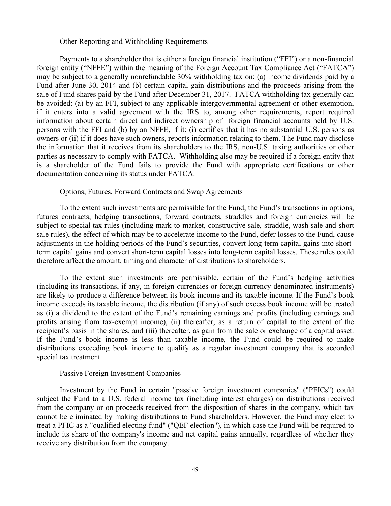### Other Reporting and Withholding Requirements

Payments to a shareholder that is either a foreign financial institution ("FFI") or a non-financial foreign entity ("NFFE") within the meaning of the Foreign Account Tax Compliance Act ("FATCA") may be subject to a generally nonrefundable 30% withholding tax on: (a) income dividends paid by a Fund after June 30, 2014 and (b) certain capital gain distributions and the proceeds arising from the sale of Fund shares paid by the Fund after December 31, 2017. FATCA withholding tax generally can be avoided: (a) by an FFI, subject to any applicable intergovernmental agreement or other exemption, if it enters into a valid agreement with the IRS to, among other requirements, report required information about certain direct and indirect ownership of foreign financial accounts held by U.S. persons with the FFI and (b) by an NFFE, if it: (i) certifies that it has no substantial U.S. persons as owners or (ii) if it does have such owners, reports information relating to them. The Fund may disclose the information that it receives from its shareholders to the IRS, non-U.S. taxing authorities or other parties as necessary to comply with FATCA. Withholding also may be required if a foreign entity that is a shareholder of the Fund fails to provide the Fund with appropriate certifications or other documentation concerning its status under FATCA.

### Options, Futures, Forward Contracts and Swap Agreements

To the extent such investments are permissible for the Fund, the Fund's transactions in options, futures contracts, hedging transactions, forward contracts, straddles and foreign currencies will be subject to special tax rules (including mark-to-market, constructive sale, straddle, wash sale and short sale rules), the effect of which may be to accelerate income to the Fund, defer losses to the Fund, cause adjustments in the holding periods of the Fund's securities, convert long-term capital gains into shortterm capital gains and convert short-term capital losses into long-term capital losses. These rules could therefore affect the amount, timing and character of distributions to shareholders.

To the extent such investments are permissible, certain of the Fund's hedging activities (including its transactions, if any, in foreign currencies or foreign currency-denominated instruments) are likely to produce a difference between its book income and its taxable income. If the Fund's book income exceeds its taxable income, the distribution (if any) of such excess book income will be treated as (i) a dividend to the extent of the Fund's remaining earnings and profits (including earnings and profits arising from tax-exempt income), (ii) thereafter, as a return of capital to the extent of the recipient's basis in the shares, and (iii) thereafter, as gain from the sale or exchange of a capital asset. If the Fund's book income is less than taxable income, the Fund could be required to make distributions exceeding book income to qualify as a regular investment company that is accorded special tax treatment.

### Passive Foreign Investment Companies

Investment by the Fund in certain "passive foreign investment companies" ("PFICs") could subject the Fund to a U.S. federal income tax (including interest charges) on distributions received from the company or on proceeds received from the disposition of shares in the company, which tax cannot be eliminated by making distributions to Fund shareholders. However, the Fund may elect to treat a PFIC as a "qualified electing fund" ("QEF election"), in which case the Fund will be required to include its share of the company's income and net capital gains annually, regardless of whether they receive any distribution from the company.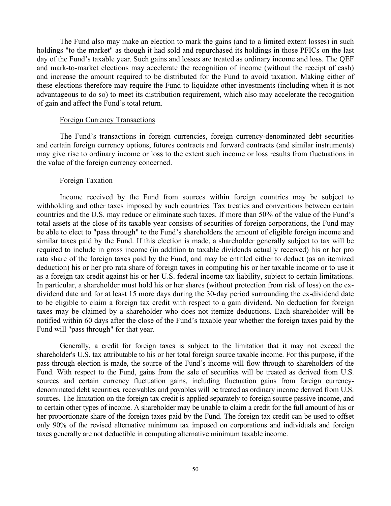The Fund also may make an election to mark the gains (and to a limited extent losses) in such holdings "to the market" as though it had sold and repurchased its holdings in those PFICs on the last day of the Fund's taxable year. Such gains and losses are treated as ordinary income and loss. The QEF and mark-to-market elections may accelerate the recognition of income (without the receipt of cash) and increase the amount required to be distributed for the Fund to avoid taxation. Making either of these elections therefore may require the Fund to liquidate other investments (including when it is not advantageous to do so) to meet its distribution requirement, which also may accelerate the recognition of gain and affect the Fund's total return.

### Foreign Currency Transactions

The Fund's transactions in foreign currencies, foreign currency-denominated debt securities and certain foreign currency options, futures contracts and forward contracts (and similar instruments) may give rise to ordinary income or loss to the extent such income or loss results from fluctuations in the value of the foreign currency concerned.

### Foreign Taxation

Income received by the Fund from sources within foreign countries may be subject to withholding and other taxes imposed by such countries. Tax treaties and conventions between certain countries and the U.S. may reduce or eliminate such taxes. If more than 50% of the value of the Fund's total assets at the close of its taxable year consists of securities of foreign corporations, the Fund may be able to elect to "pass through" to the Fund's shareholders the amount of eligible foreign income and similar taxes paid by the Fund. If this election is made, a shareholder generally subject to tax will be required to include in gross income (in addition to taxable dividends actually received) his or her pro rata share of the foreign taxes paid by the Fund, and may be entitled either to deduct (as an itemized deduction) his or her pro rata share of foreign taxes in computing his or her taxable income or to use it as a foreign tax credit against his or her U.S. federal income tax liability, subject to certain limitations. In particular, a shareholder must hold his or her shares (without protection from risk of loss) on the exdividend date and for at least 15 more days during the 30-day period surrounding the ex-dividend date to be eligible to claim a foreign tax credit with respect to a gain dividend. No deduction for foreign taxes may be claimed by a shareholder who does not itemize deductions. Each shareholder will be notified within 60 days after the close of the Fund's taxable year whether the foreign taxes paid by the Fund will "pass through" for that year.

Generally, a credit for foreign taxes is subject to the limitation that it may not exceed the shareholder's U.S. tax attributable to his or her total foreign source taxable income. For this purpose, if the pass-through election is made, the source of the Fund's income will flow through to shareholders of the Fund. With respect to the Fund, gains from the sale of securities will be treated as derived from U.S. sources and certain currency fluctuation gains, including fluctuation gains from foreign currencydenominated debt securities, receivables and payables will be treated as ordinary income derived from U.S. sources. The limitation on the foreign tax credit is applied separately to foreign source passive income, and to certain other types of income. A shareholder may be unable to claim a credit for the full amount of his or her proportionate share of the foreign taxes paid by the Fund. The foreign tax credit can be used to offset only 90% of the revised alternative minimum tax imposed on corporations and individuals and foreign taxes generally are not deductible in computing alternative minimum taxable income.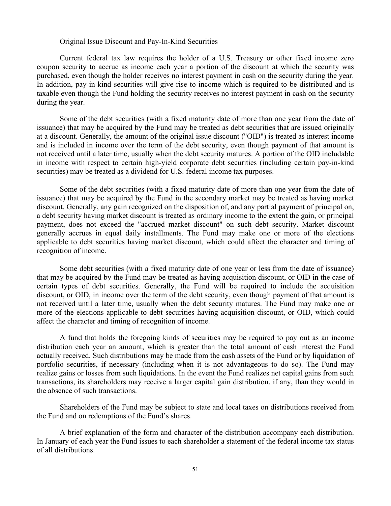### Original Issue Discount and Pay-In-Kind Securities

Current federal tax law requires the holder of a U.S. Treasury or other fixed income zero coupon security to accrue as income each year a portion of the discount at which the security was purchased, even though the holder receives no interest payment in cash on the security during the year. In addition, pay-in-kind securities will give rise to income which is required to be distributed and is taxable even though the Fund holding the security receives no interest payment in cash on the security during the year.

Some of the debt securities (with a fixed maturity date of more than one year from the date of issuance) that may be acquired by the Fund may be treated as debt securities that are issued originally at a discount. Generally, the amount of the original issue discount ("OID") is treated as interest income and is included in income over the term of the debt security, even though payment of that amount is not received until a later time, usually when the debt security matures. A portion of the OID includable in income with respect to certain high-yield corporate debt securities (including certain pay-in-kind securities) may be treated as a dividend for U.S. federal income tax purposes.

Some of the debt securities (with a fixed maturity date of more than one year from the date of issuance) that may be acquired by the Fund in the secondary market may be treated as having market discount. Generally, any gain recognized on the disposition of, and any partial payment of principal on, a debt security having market discount is treated as ordinary income to the extent the gain, or principal payment, does not exceed the "accrued market discount" on such debt security. Market discount generally accrues in equal daily installments. The Fund may make one or more of the elections applicable to debt securities having market discount, which could affect the character and timing of recognition of income.

Some debt securities (with a fixed maturity date of one year or less from the date of issuance) that may be acquired by the Fund may be treated as having acquisition discount, or OID in the case of certain types of debt securities. Generally, the Fund will be required to include the acquisition discount, or OID, in income over the term of the debt security, even though payment of that amount is not received until a later time, usually when the debt security matures. The Fund may make one or more of the elections applicable to debt securities having acquisition discount, or OID, which could affect the character and timing of recognition of income.

A fund that holds the foregoing kinds of securities may be required to pay out as an income distribution each year an amount, which is greater than the total amount of cash interest the Fund actually received. Such distributions may be made from the cash assets of the Fund or by liquidation of portfolio securities, if necessary (including when it is not advantageous to do so). The Fund may realize gains or losses from such liquidations. In the event the Fund realizes net capital gains from such transactions, its shareholders may receive a larger capital gain distribution, if any, than they would in the absence of such transactions.

Shareholders of the Fund may be subject to state and local taxes on distributions received from the Fund and on redemptions of the Fund's shares.

A brief explanation of the form and character of the distribution accompany each distribution. In January of each year the Fund issues to each shareholder a statement of the federal income tax status of all distributions.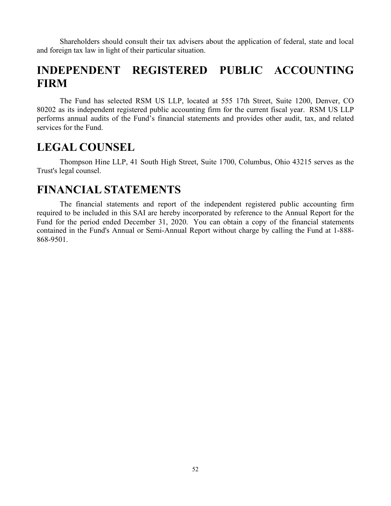Shareholders should consult their tax advisers about the application of federal, state and local and foreign tax law in light of their particular situation.

# **INDEPENDENT REGISTERED PUBLIC ACCOUNTING FIRM**

The Fund has selected RSM US LLP, located at 555 17th Street, Suite 1200, Denver, CO 80202 as its independent registered public accounting firm for the current fiscal year. RSM US LLP performs annual audits of the Fund's financial statements and provides other audit, tax, and related services for the Fund.

# **LEGAL COUNSEL**

Thompson Hine LLP, 41 South High Street, Suite 1700, Columbus, Ohio 43215 serves as the Trust's legal counsel.

# **FINANCIAL STATEMENTS**

The financial statements and report of the independent registered public accounting firm required to be included in this SAI are hereby incorporated by reference to the Annual Report for the Fund for the period ended December 31, 2020. You can obtain a copy of the financial statements contained in the Fund's Annual or Semi-Annual Report without charge by calling the Fund at 1-888- 868-9501.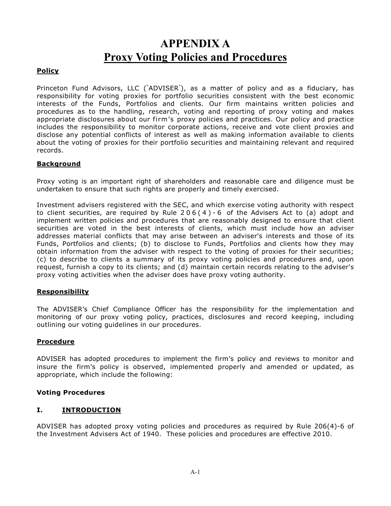# **APPENDIX A Proxy Voting Policies and Procedures**

# **Policy**

Princeton Fund Advisors, LLC ("ADVISER"), as a matter of policy and as a fiduciary, has responsibility for voting proxies for portfolio securities consistent with the best economic interests of the Funds, Portfolios and clients. Our firm maintains written policies and procedures as to the handling, research, voting and reporting of proxy voting and makes appropriate disclosures about our firm's proxy policies and practices. Our policy and practice includes the responsibility to monitor corporate actions, receive and vote client proxies and disclose any potential conflicts of interest as well as making information available to clients about the voting of proxies for their portfolio securities and maintaining relevant and required records.

# **Background**

Proxy voting is an important right of shareholders and reasonable care and diligence must be undertaken to ensure that such rights are properly and timely exercised.

Investment advisers registered with the SEC, and which exercise voting authority with respect to client securities, are required by Rule 206(4) - 6 of the Advisers Act to (a) adopt and implement written policies and procedures that are reasonably designed to ensure that client securities are voted in the best interests of clients, which must include how an adviser addresses material conflicts that may arise between an adviser's interests and those of its Funds, Portfolios and clients; (b) to disclose to Funds, Portfolios and clients how they may obtain information from the adviser with respect to the voting of proxies for their securities; (c) to describe to clients a summary of its proxy voting policies and procedures and, upon request, furnish a copy to its clients; and (d) maintain certain records relating to the adviser's proxy voting activities when the adviser does have proxy voting authority.

## **Responsibility**

The ADVISER's Chief Compliance Officer has the responsibility for the implementation and monitoring of our proxy voting policy, practices, disclosures and record keeping, including outlining our voting guidelines in our procedures.

## **Procedure**

ADVISER has adopted procedures to implement the firm's policy and reviews to monitor and insure the firm's policy is observed, implemented properly and amended or updated, as appropriate, which include the following:

## **Voting Procedures**

# **I. INTRODUCTION**

ADVISER has adopted proxy voting policies and procedures as required by Rule 206(4)-6 of the Investment Advisers Act of 1940. These policies and procedures are effective 2010.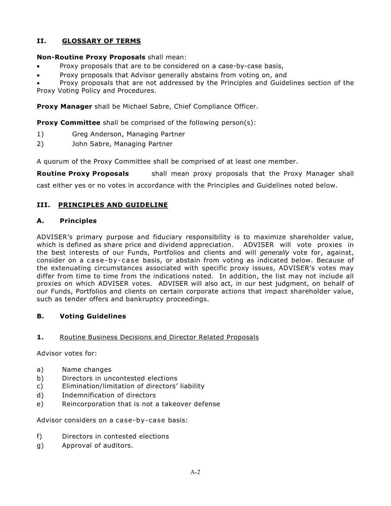# **II. GLOSSARY OF TERMS**

# **Non-Routine Proxy Proposals** shall mean:

- Proxy proposals that are to be considered on a case-by-case basis,
- Proxy proposals that Advisor generally abstains from voting on, and

• Proxy proposals that are not addressed by the Principles and Guidelines section of the Proxy Voting Policy and Procedures.

**Proxy Manager** shall be Michael Sabre, Chief Compliance Officer.

**Proxy Committee** shall be comprised of the following person(s):

- 1) Greg Anderson, Managing Partner
- 2) John Sabre, Managing Partner

A quorum of the Proxy Committee shall be comprised of at least one member.

**Routine Proxy Proposals** shall mean proxy proposals that the Proxy Manager shall

cast either yes or no votes in accordance with the Principles and Guidelines noted below.

# **III. PRINCIPLES AND GUIDELINE**

# **A. Principles**

ADVISER's primary purpose and fiduciary responsibility is to maximize shareholder value, which is defined as share price and dividend appreciation. ADVISER will vote proxies in the best interests of our Funds, Portfolios and clients and will *generally* vote for, against, consider on a case-by-case basis, or abstain from voting as indicated below. Because of the extenuating circumstances associated with specific proxy issues, ADVISER's votes may differ from time to time from the indications noted. In addition, the list may not include all proxies on which ADVISER votes. ADVISER will also act, in our best judgment, on behalf of our Funds, Portfolios and clients on certain corporate actions that impact shareholder value, such as tender offers and bankruptcy proceedings.

# **B. Voting Guidelines**

## **1.** Routine Business Decisions and Director Related Proposals

Advisor votes for:

- a) Name changes
- b) Directors in uncontested elections
- c) Elimination/limitation of directors' liability
- d) Indemnification of directors
- e) Reincorporation that is not a takeover defense

Advisor considers on a case-by-case basis:

- f) Directors in contested elections
- g) Approval of auditors.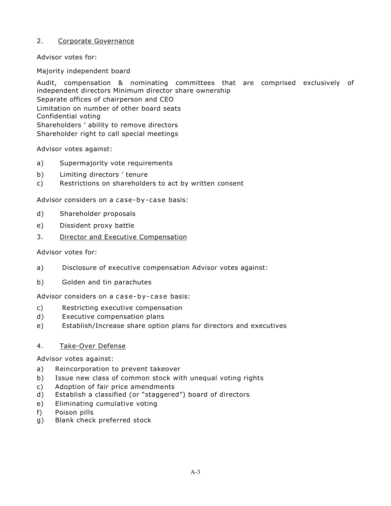# 2. Corporate Governance

Advisor votes for:

Majority independent board

Audit, compensation & nominating committees that are comprised exclusively of independent directors Minimum director share ownership Separate offices of chairperson and CEO Limitation on number of other board seats Confidential voting Shareholders ' ability to remove directors Shareholder right to call special meetings

Advisor votes against:

- a) Supermajority vote requirements
- b) Limiting directors ' tenure
- c) Restrictions on shareholders to act by written consent

Advisor considers on a case-by-case basis:

- d) Shareholder proposals
- e) Dissident proxy battle
- 3. Director and Executive Compensation

## Advisor votes for:

- a) Disclosure of executive compensation Advisor votes against:
- b) Golden and tin parachutes

Advisor considers on a case-by-case basis:

- c) Restricting executive compensation
- d) Executive compensation plans
- e) Establish/Increase share option plans for directors and executives

# 4. Take-Over Defense

Advisor votes against:

- a) Reincorporation to prevent takeover
- b) Issue new class of common stock with unequal voting rights
- c) Adoption of fair price amendments
- d) Establish a classified (or "staggered") board of directors
- e) Eliminating cumulative voting
- f) Poison pills
- g) Blank check preferred stock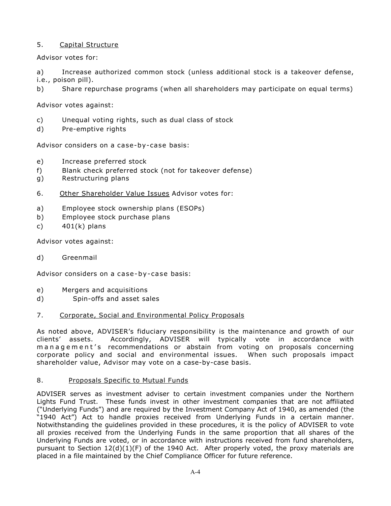# 5. Capital Structure

Advisor votes for:

a) Increase authorized common stock (unless additional stock is a takeover defense, i.e., poison pill).

b) Share repurchase programs (when all shareholders may participate on equal terms)

Advisor votes against:

- c) Unequal voting rights, such as dual class of stock
- d) Pre-emptive rights

Advisor considers on a case-by-case basis:

- e) Increase preferred stock
- f) Blank check preferred stock (not for takeover defense)
- g) Restructuring plans
- 6. Other Shareholder Value Issues Advisor votes for:
- a) Employee stock ownership plans (ESOPs)
- b) Employee stock purchase plans
- c)  $401(k)$  plans

Advisor votes against:

d) Greenmail

Advisor considers on a case-by-case basis:

- e) Mergers and acquisitions
- d) Spin-offs and asset sales

## 7. Corporate, Social and Environmental Policy Proposals

As noted above, ADVISER's fiduciary responsibility is the maintenance and growth of our clients' assets. Accordingly, ADVISER will typically vote in accordance with management's recommendations or abstain from voting on proposals concerning corporate policy and social and environmental issues. When such proposals impact shareholder value, Advisor may vote on a case-by-case basis.

## 8. Proposals Specific to Mutual Funds

ADVISER serves as investment adviser to certain investment companies under the Northern Lights Fund Trust. These funds invest in other investment companies that are not affiliated ("Underlying Funds") and are required by the Investment Company Act of 1940, as amended (the "1940 Act") Act to handle proxies received from Underlying Funds in a certain manner. Notwithstanding the guidelines provided in these procedures, it is the policy of ADVISER to vote all proxies received from the Underlying Funds in the same proportion that all shares of the Underlying Funds are voted, or in accordance with instructions received from fund shareholders, pursuant to Section  $12(d)(1)(F)$  of the 1940 Act. After properly voted, the proxy materials are placed in a file maintained by the Chief Compliance Officer for future reference.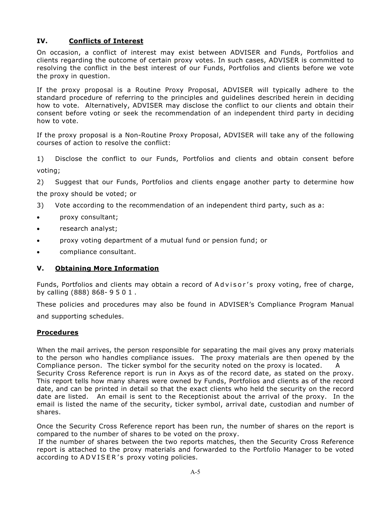# **IV. Conflicts of Interest**

On occasion, a conflict of interest may exist between ADVISER and Funds, Portfolios and clients regarding the outcome of certain proxy votes. In such cases, ADVISER is committed to resolving the conflict in the best interest of our Funds, Portfolios and clients before we vote the proxy in question.

If the proxy proposal is a Routine Proxy Proposal, ADVISER will typically adhere to the standard procedure of referring to the principles and guidelines described herein in deciding how to vote. Alternatively, ADVISER may disclose the conflict to our clients and obtain their consent before voting or seek the recommendation of an independent third party in deciding how to vote.

If the proxy proposal is a Non-Routine Proxy Proposal, ADVISER will take any of the following courses of action to resolve the conflict:

1) Disclose the conflict to our Funds, Portfolios and clients and obtain consent before voting;

2) Suggest that our Funds, Portfolios and clients engage another party to determine how the proxy should be voted; or

- 3) Vote according to the recommendation of an independent third party, such as a:
- proxy consultant;
- research analyst;
- proxy voting department of a mutual fund or pension fund; or
- compliance consultant.

## **V. Obtaining More Information**

Funds, Portfolios and clients may obtain a record of A d visor's proxy voting, free of charge, by calling (888) 868- 9501.

These policies and procedures may also be found in ADVISER's Compliance Program Manual

and supporting schedules.

## **Procedures**

When the mail arrives, the person responsible for separating the mail gives any proxy materials to the person who handles compliance issues. The proxy materials are then opened by the Compliance person. The ticker symbol for the security noted on the proxy is located. A Security Cross Reference report is run in Axys as of the record date, as stated on the proxy. This report tells how many shares were owned by Funds, Portfolios and clients as of the record date, and can be printed in detail so that the exact clients who held the security on the record date are listed. An email is sent to the Receptionist about the arrival of the proxy. In the email is listed the name of the security, ticker symbol, arrival date, custodian and number of shares.

Once the Security Cross Reference report has been run, the number of shares on the report is compared to the number of shares to be voted on the proxy.

If the number of shares between the two reports matches, then the Security Cross Reference report is attached to the proxy materials and forwarded to the Portfolio Manager to be voted according to ADVISER's proxy voting policies.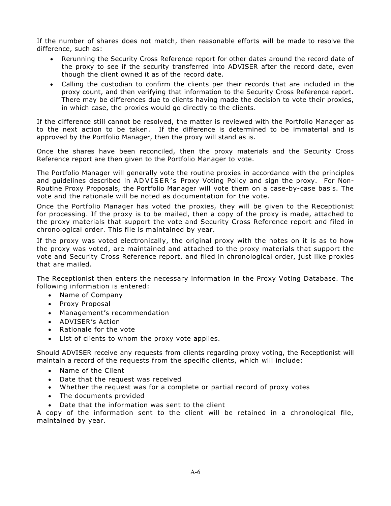If the number of shares does not match, then reasonable efforts will be made to resolve the difference, such as:

- Rerunning the Security Cross Reference report for other dates around the record date of the proxy to see if the security transferred into ADVISER after the record date, even though the client owned it as of the record date.
- Calling the custodian to confirm the clients per their records that are included in the proxy count, and then verifying that information to the Security Cross Reference report. There may be differences due to clients having made the decision to vote their proxies, in which case, the proxies would go directly to the clients.

If the difference still cannot be resolved, the matter is reviewed with the Portfolio Manager as to the next action to be taken. If the difference is determined to be immaterial and is approved by the Portfolio Manager, then the proxy will stand as is.

Once the shares have been reconciled, then the proxy materials and the Security Cross Reference report are then given to the Portfolio Manager to vote.

The Portfolio Manager will generally vote the routine proxies in accordance with the principles and guidelines described in ADVISER's Proxy Voting Policy and sign the proxy. For Non-Routine Proxy Proposals, the Portfolio Manager will vote them on a case-by-case basis. The vote and the rationale will be noted as documentation for the vote.

Once the Portfolio Manager has voted the proxies, they will be given to the Receptionist for processing. If the proxy is to be mailed, then a copy of the proxy is made, attached to the proxy materials that support the vote and Security Cross Reference report and filed in chronological order. This file is maintained by year.

If the proxy was voted electronically, the original proxy with the notes on it is as to how the proxy was voted, are maintained and attached to the proxy materials that support the vote and Security Cross Reference report, and filed in chronological order, just like proxies that are mailed.

The Receptionist then enters the necessary information in the Proxy Voting Database. The following information is entered:

- Name of Company
- Proxy Proposal
- Management's recommendation
- ADVISER's Action
- Rationale for the vote
- List of clients to whom the proxy vote applies.

Should ADVISER receive any requests from clients regarding proxy voting, the Receptionist will maintain a record of the requests from the specific clients, which will include:

- Name of the Client
- Date that the request was received
- Whether the request was for a complete or partial record of proxy votes
- The documents provided
- Date that the information was sent to the client

A copy of the information sent to the client will be retained in a chronological file, maintained by year.